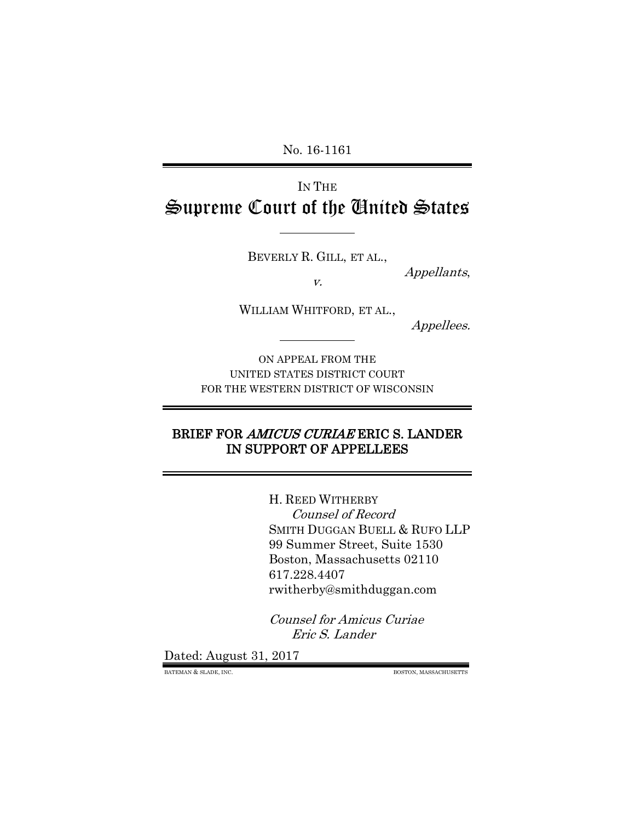No. 16-1161

# IN THE Supreme Court of the United States

BEVERLY R. GILL, ET AL.,

v.

WILLIAM WHITFORD, ET AL.,

Appellees.

Appellants,

ON APPEAL FROM THE UNITED STATES DISTRICT COURT FOR THE WESTERN DISTRICT OF WISCONSIN

#### BRIEF FOR AMICUS CURIAE ERIC S. LANDER IN SUPPORT OF APPELLEES

H. REED WITHERBY Counsel of Record SMITH DUGGAN BUELL & RUFO LLP 99 Summer Street, Suite 1530 Boston, Massachusetts 02110 617.228.4407 rwitherby@smithduggan.com

Counsel for Amicus Curiae Eric S. Lander

Dated: August 31, 2017

BATEMAN & SLADE, INC. BOSTON, MASSACHUSETTS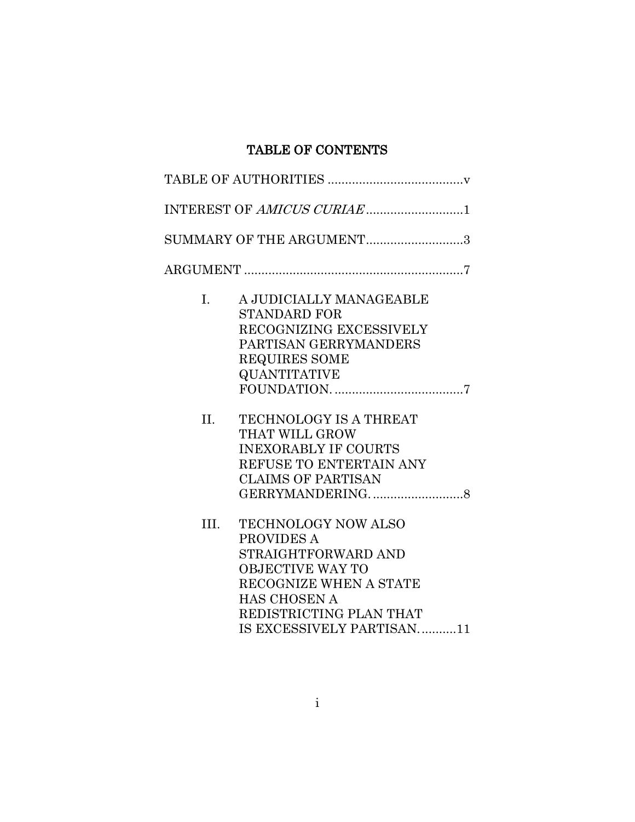## TABLE OF CONTENTS

|         | INTEREST OF AMICUS CURIAE1                                                                                                                                                                          |
|---------|-----------------------------------------------------------------------------------------------------------------------------------------------------------------------------------------------------|
|         | SUMMARY OF THE ARGUMENT3                                                                                                                                                                            |
|         |                                                                                                                                                                                                     |
| I.      | A JUDICIALLY MANAGEABLE<br><b>STANDARD FOR</b><br>RECOGNIZING EXCESSIVELY<br>PARTISAN GERRYMANDERS<br><b>REQUIRES SOME</b><br><b>QUANTITATIVE</b>                                                   |
| $\Pi$ . | <b>TECHNOLOGY IS A THREAT</b><br>THAT WILL GROW<br><b>INEXORABLY IF COURTS</b><br>REFUSE TO ENTERTAIN ANY<br><b>CLAIMS OF PARTISAN</b>                                                              |
| III.    | <b>TECHNOLOGY NOW ALSO</b><br>PROVIDES A<br>STRAIGHTFORWARD AND<br><b>OBJECTIVE WAY TO</b><br>RECOGNIZE WHEN A STATE<br><b>HAS CHOSEN A</b><br>REDISTRICTING PLAN THAT<br>IS EXCESSIVELY PARTISAN11 |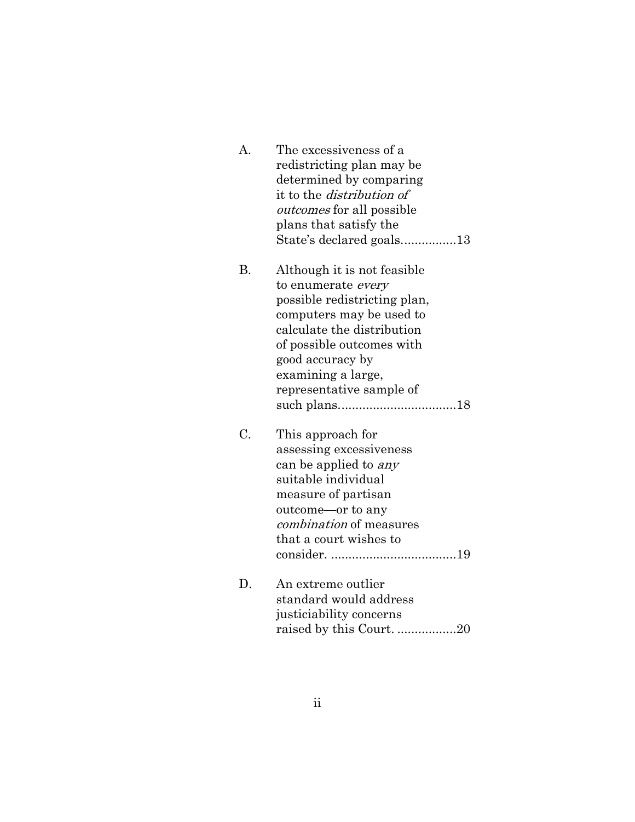| A.        | The excessiveness of a<br>redistricting plan may be<br>determined by comparing<br>it to the <i>distribution of</i><br><i>outcomes</i> for all possible<br>plans that satisfy the<br>State's declared goals13                                   |
|-----------|------------------------------------------------------------------------------------------------------------------------------------------------------------------------------------------------------------------------------------------------|
| <b>B.</b> | Although it is not feasible<br>to enumerate every<br>possible redistricting plan,<br>computers may be used to<br>calculate the distribution<br>of possible outcomes with<br>good accuracy by<br>examining a large,<br>representative sample of |
| C.        | This approach for<br>assessing excessiveness<br>can be applied to <i>any</i><br>suitable individual<br>measure of partisan<br>outcome—or to any<br><i>combination</i> of measures<br>that a court wishes to                                    |
| D.        | An extreme outlier<br>standard would address<br>justiciability concerns<br>raised by this Court. 20                                                                                                                                            |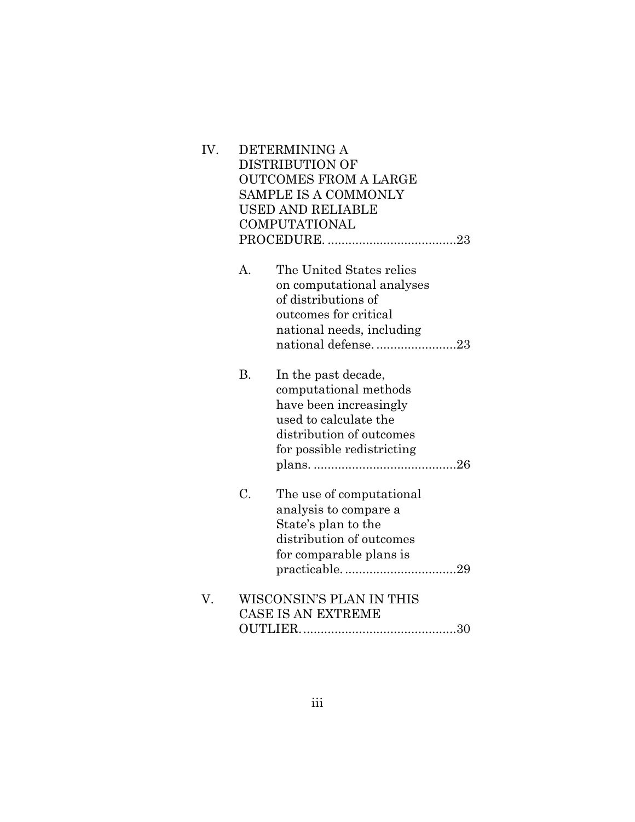| IV. |           | DETERMINING A<br><b>DISTRIBUTION OF</b><br><b>OUTCOMES FROM A LARGE</b><br><b>SAMPLE IS A COMMONLY</b><br>USED AND RELIABLE<br><b>COMPUTATIONAL</b>       |
|-----|-----------|-----------------------------------------------------------------------------------------------------------------------------------------------------------|
|     | A.        | The United States relies<br>on computational analyses<br>of distributions of<br>outcomes for critical<br>national needs, including<br>national defense23  |
|     | <b>B.</b> | In the past decade,<br>computational methods<br>have been increasingly<br>used to calculate the<br>distribution of outcomes<br>for possible redistricting |
|     | C.        | The use of computational<br>analysis to compare a<br>State's plan to the<br>distribution of outcomes<br>for comparable plans is                           |
| V.  |           | WISCONSIN'S PLAN IN THIS<br><b>CASE IS AN EXTREME</b>                                                                                                     |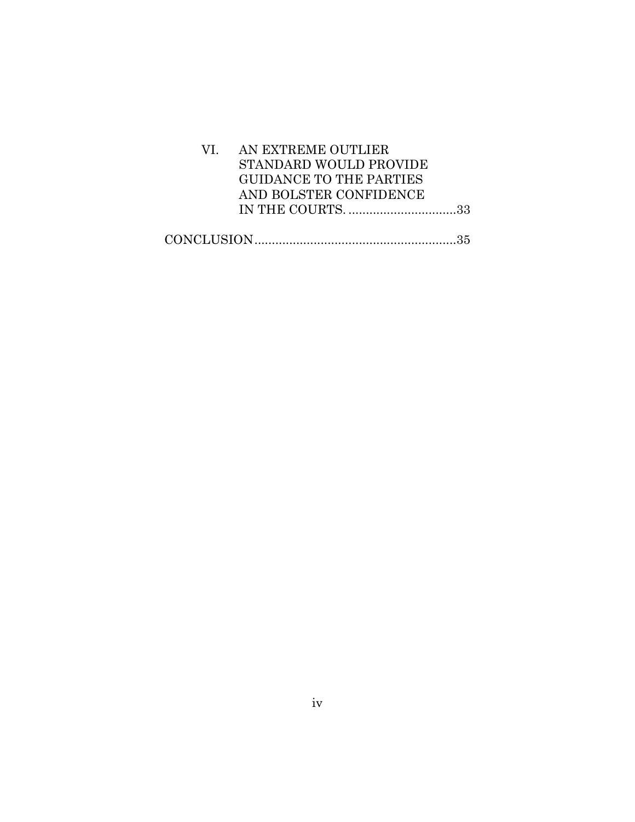| VI. AN EXTREME OUTLIER         |  |
|--------------------------------|--|
| STANDARD WOULD PROVIDE         |  |
| <b>GUIDANCE TO THE PARTIES</b> |  |
| AND BOLSTER CONFIDENCE         |  |
|                                |  |
|                                |  |
|                                |  |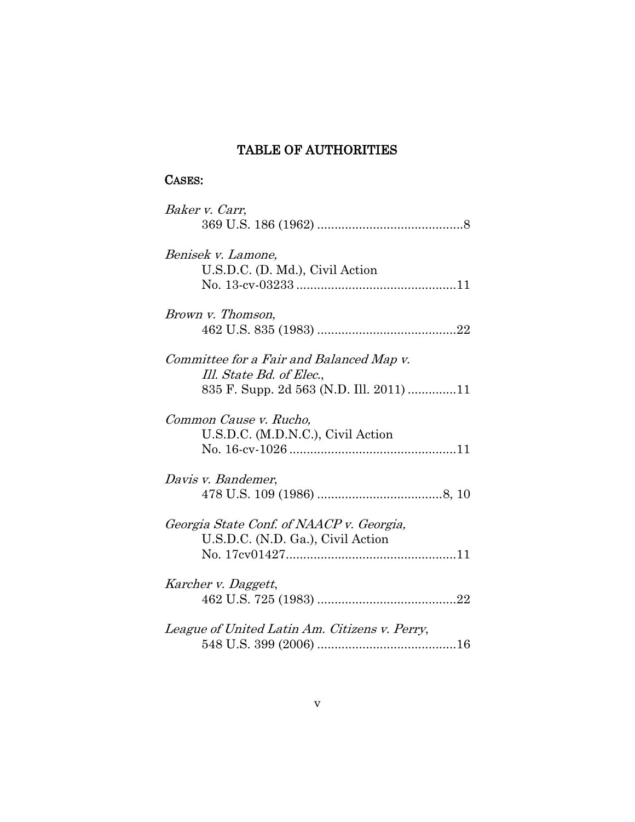## TABLE OF AUTHORITIES

## CASES:

| Baker v. Carr,                                |
|-----------------------------------------------|
|                                               |
| Benisek v. Lamone,                            |
| U.S.D.C. (D. Md.), Civil Action               |
|                                               |
| Brown v. Thomson,                             |
|                                               |
| Committee for a Fair and Balanced Map v.      |
| Ill. State Bd. of Elec.,                      |
| 835 F. Supp. 2d 563 (N.D. Ill. 2011) 11       |
| Common Cause v. Rucho,                        |
| U.S.D.C. (M.D.N.C.), Civil Action             |
|                                               |
| Davis v. Bandemer,                            |
|                                               |
| Georgia State Conf. of NAACP v. Georgia,      |
| U.S.D.C. (N.D. Ga.), Civil Action             |
|                                               |
| Karcher v. Daggett,                           |
|                                               |
| League of United Latin Am. Citizens v. Perry, |
|                                               |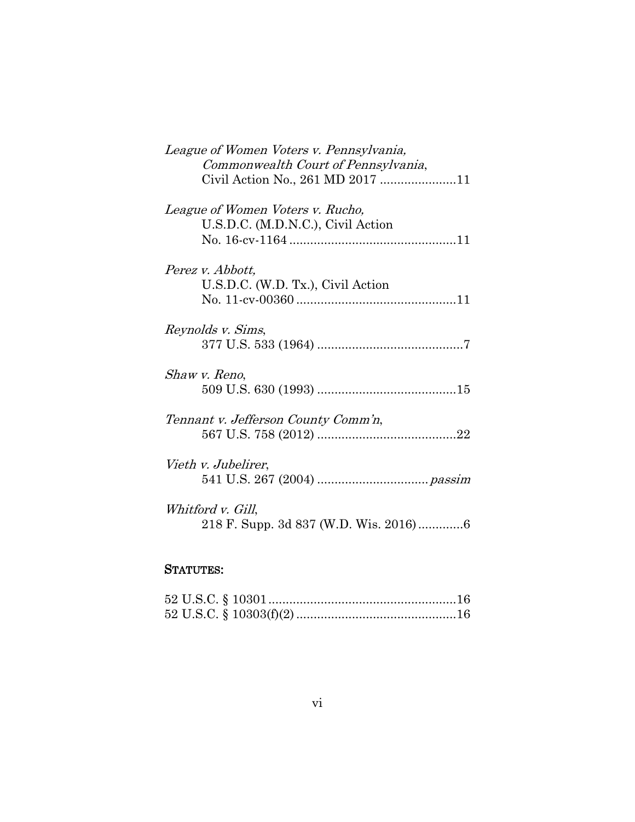| League of Women Voters v. Pennsylvania, |
|-----------------------------------------|
| Commonwealth Court of Pennsylvania,     |
| Civil Action No., 261 MD 2017 11        |
|                                         |
| League of Women Voters v. Rucho,        |
| U.S.D.C. (M.D.N.C.), Civil Action       |
|                                         |
|                                         |
|                                         |
| Perez v. Abbott,                        |
| U.S.D.C. (W.D. Tx.), Civil Action       |
|                                         |
|                                         |
| Reynolds v. Sims,                       |
|                                         |
|                                         |
| Shaw v. Reno,                           |
|                                         |
|                                         |
|                                         |
| Tennant v. Jefferson County Comm'n,     |
|                                         |
|                                         |
| Vieth v. Jubelirer,                     |
|                                         |
|                                         |
| Whitford v. Gill,                       |
|                                         |
| 218 F. Supp. 3d 837 (W.D. Wis. 2016)6   |

## STATUTES: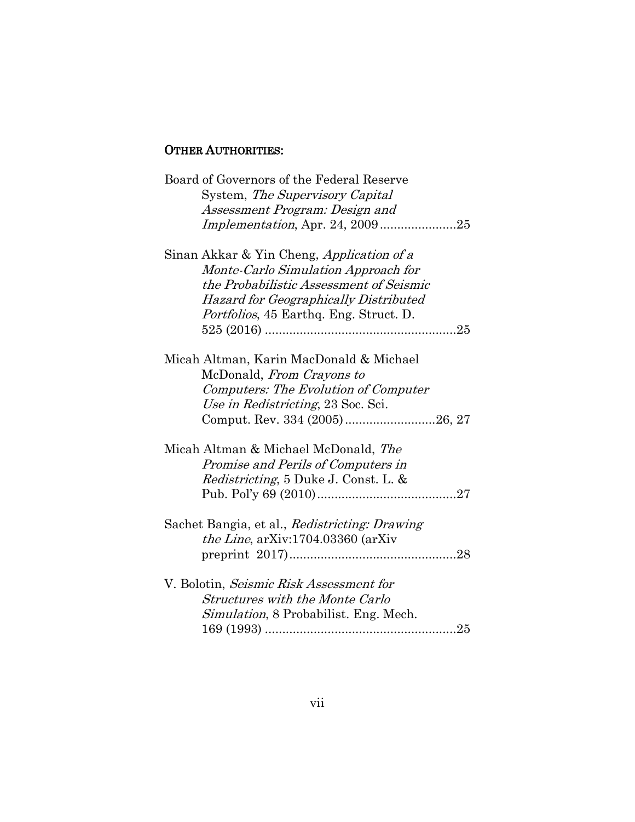### OTHER AUTHORITIES:

| Board of Governors of the Federal Reserve      |
|------------------------------------------------|
| System, The Supervisory Capital                |
| Assessment Program: Design and                 |
| <i>Implementation, Apr. 24, 200925</i>         |
| Sinan Akkar & Yin Cheng, Application of a      |
| Monte-Carlo Simulation Approach for            |
| the Probabilistic Assessment of Seismic        |
| <b>Hazard for Geographically Distributed</b>   |
| <i>Portfolios</i> , 45 Earthq. Eng. Struct. D. |
|                                                |
| Micah Altman, Karin MacDonald & Michael        |
| McDonald, From Crayons to                      |
| Computers: The Evolution of Computer           |
| Use in Redistricting, 23 Soc. Sci.             |
| Comput. Rev. 334 (2005)26, 27                  |
| Micah Altman & Michael McDonald, The           |
| Promise and Perils of Computers in             |
| <i>Redistricting</i> , 5 Duke J. Const. L. &   |
|                                                |
| Sachet Bangia, et al., Redistricting: Drawing  |
| <i>the Line</i> , arXiv:1704.03360 (arXiv      |
|                                                |
| V. Bolotin, Seismic Risk Assessment for        |
| <b>Structures with the Monte Carlo</b>         |
| <i>Simulation</i> , 8 Probabilist. Eng. Mech.  |
|                                                |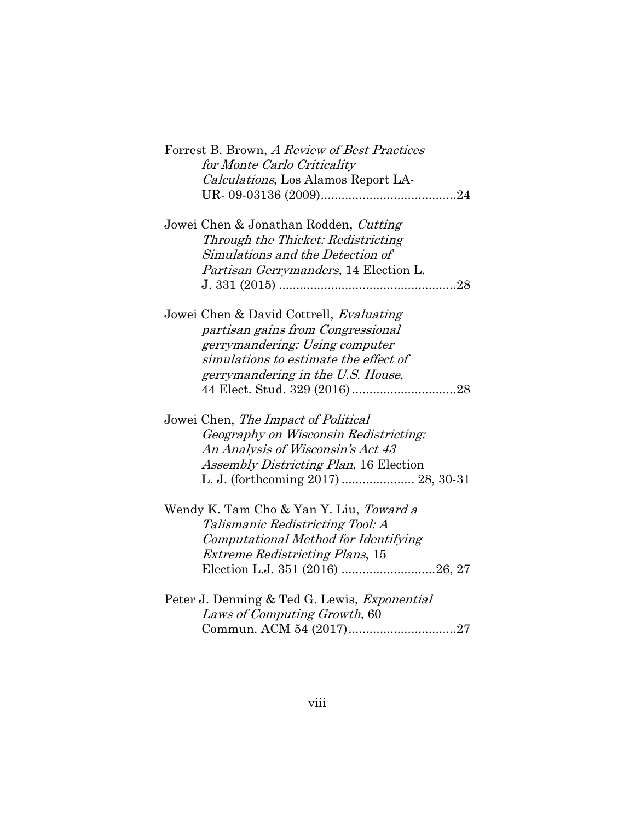| Forrest B. Brown, A Review of Best Practices<br>for Monte Carlo Criticality |
|-----------------------------------------------------------------------------|
| Calculations, Los Alamos Report LA-                                         |
|                                                                             |
|                                                                             |
| Jowei Chen & Jonathan Rodden, Cutting                                       |
| Through the Thicket: Redistricting                                          |
| Simulations and the Detection of                                            |
| <i>Partisan Gerrymanders</i> , 14 Election L.                               |
|                                                                             |
| Jowei Chen & David Cottrell, Evaluating                                     |
| partisan gains from Congressional                                           |
| gerrymandering: Using computer                                              |
| simulations to estimate the effect of                                       |
|                                                                             |
| gerrymandering in the U.S. House,                                           |
|                                                                             |
| Jowei Chen, The Impact of Political                                         |
| Geography on Wisconsin Redistricting:                                       |
| An Analysis of Wisconsin's Act 43                                           |
| Assembly Districting Plan, 16 Election                                      |
|                                                                             |
| Wendy K. Tam Cho & Yan Y. Liu, Toward a                                     |
| Talismanic Redistricting Tool: A                                            |
|                                                                             |
| Computational Method for Identifying                                        |
| <b>Extreme Redistricting Plans, 15</b>                                      |
| Election L.J. 351 (2016) 26, 27                                             |
| Peter J. Denning & Ted G. Lewis, <i>Exponential</i>                         |
| Laws of Computing Growth, 60                                                |
| Commun. ACM 54 (2017)27                                                     |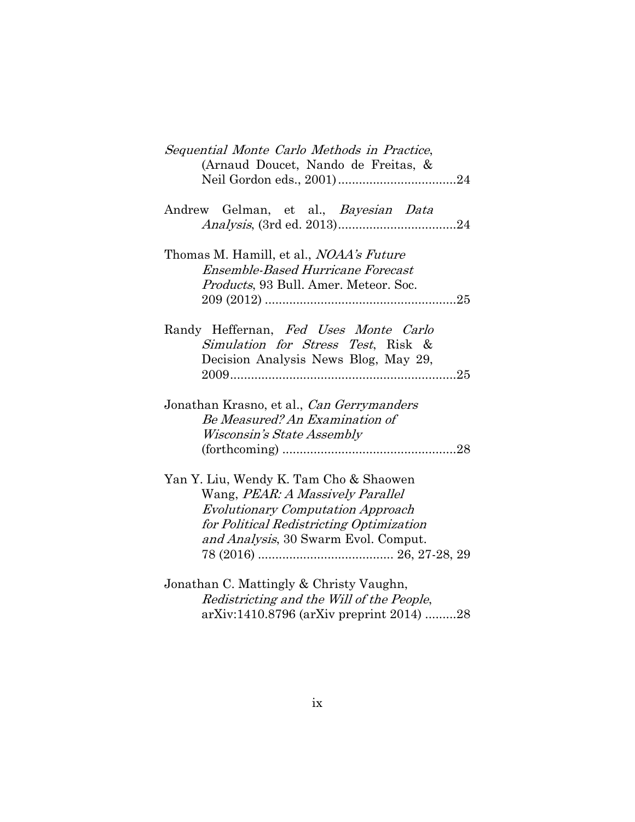| Sequential Monte Carlo Methods in Practice,<br>(Arnaud Doucet, Nando de Freitas, &                                                                                                                         |
|------------------------------------------------------------------------------------------------------------------------------------------------------------------------------------------------------------|
| Andrew Gelman, et al., Bayesian Data                                                                                                                                                                       |
| Thomas M. Hamill, et al., <i>NOAA's Future</i><br><b>Ensemble-Based Hurricane Forecast</b><br>Products, 93 Bull. Amer. Meteor. Soc.                                                                        |
| Randy Heffernan, Fed Uses Monte Carlo<br>Simulation for Stress Test, Risk &<br>Decision Analysis News Blog, May 29,                                                                                        |
| Jonathan Krasno, et al., Can Gerrymanders<br>Be Measured? An Examination of<br><i>Wisconsin's State Assembly</i>                                                                                           |
| Yan Y. Liu, Wendy K. Tam Cho & Shaowen<br>Wang, PEAR: A Massively Parallel<br><b>Evolutionary Computation Approach</b><br>for Political Redistricting Optimization<br>and Analysis, 30 Swarm Evol. Comput. |
| Jonathan C. Mattingly & Christy Vaughn,<br>Redistricting and the Will of the People,<br>arXiv:1410.8796 (arXiv preprint 2014) 28                                                                           |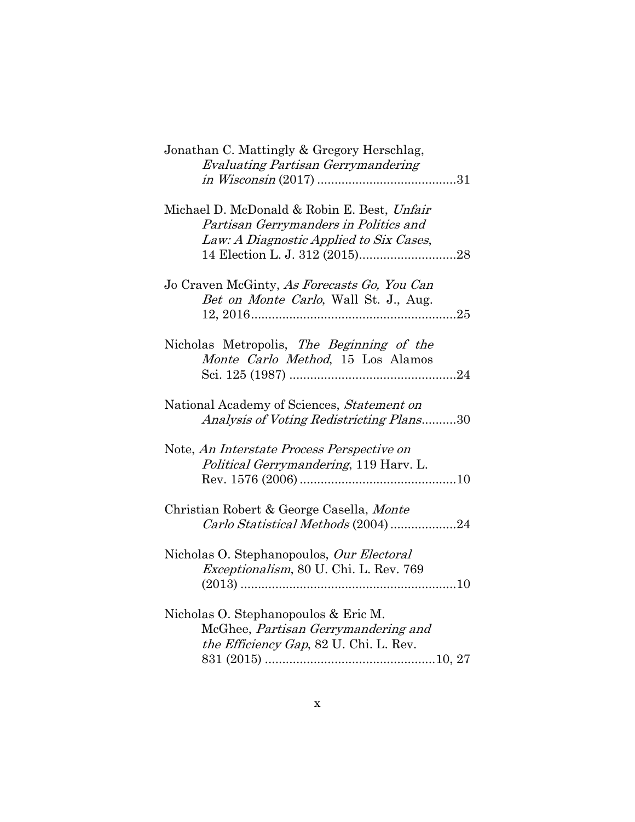| Jonathan C. Mattingly & Gregory Herschlag,<br><b>Evaluating Partisan Gerrymandering</b>                                         |
|---------------------------------------------------------------------------------------------------------------------------------|
| Michael D. McDonald & Robin E. Best, Unfair<br>Partisan Gerrymanders in Politics and<br>Law: A Diagnostic Applied to Six Cases, |
| Jo Craven McGinty, As Forecasts Go, You Can<br>Bet on Monte Carlo, Wall St. J., Aug.                                            |
| Nicholas Metropolis, The Beginning of the<br>Monte Carlo Method, 15 Los Alamos                                                  |
| National Academy of Sciences, Statement on<br>Analysis of Voting Redistricting Plans30                                          |
| Note, An Interstate Process Perspective on<br>Political Gerrymandering, 119 Harv. L.                                            |
| Christian Robert & George Casella, Monte<br>Carlo Statistical Methods (2004) 24                                                 |
| Nicholas O. Stephanopoulos, Our Electoral<br>Exceptionalism, 80 U. Chi. L. Rev. 769                                             |
| Nicholas O. Stephanopoulos & Eric M.<br>McGhee, Partisan Gerrymandering and<br>the Efficiency Gap, 82 U. Chi. L. Rev.           |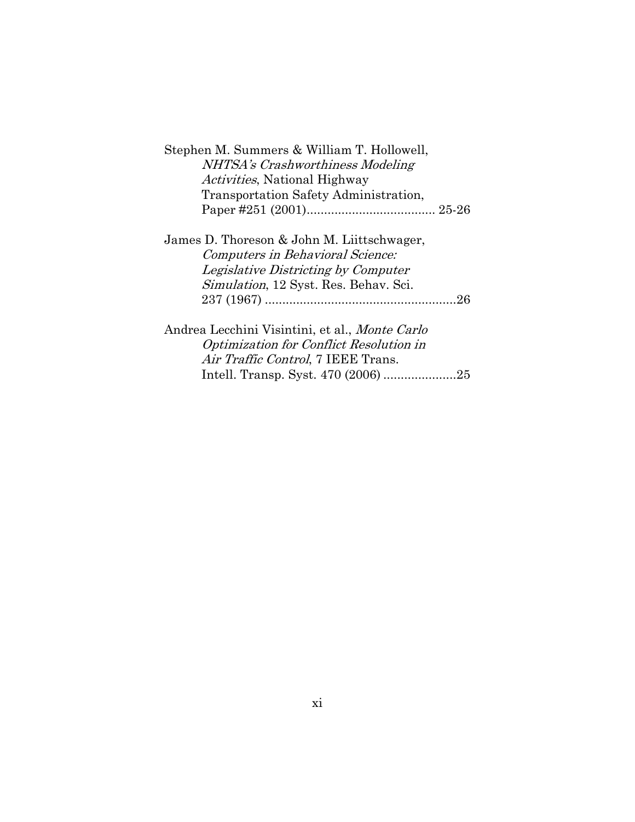| Stephen M. Summers & William T. Hollowell,            |  |
|-------------------------------------------------------|--|
| NHTSA's Crashworthiness Modeling                      |  |
| <i>Activities</i> , National Highway                  |  |
| Transportation Safety Administration,                 |  |
|                                                       |  |
|                                                       |  |
| James D. Thoreson & John M. Liittschwager,            |  |
| Computers in Behavioral Science:                      |  |
| Legislative Districting by Computer                   |  |
| <i>Simulation</i> , 12 Syst. Res. Behav. Sci.         |  |
|                                                       |  |
|                                                       |  |
| Andrea Lecchini Visintini, et al., <i>Monte Carlo</i> |  |
| Optimization for Conflict Resolution in               |  |
| Air Traffic Control, 7 IEEE Trans.                    |  |

Intell. Transp. Syst. 470 (2006) .....................25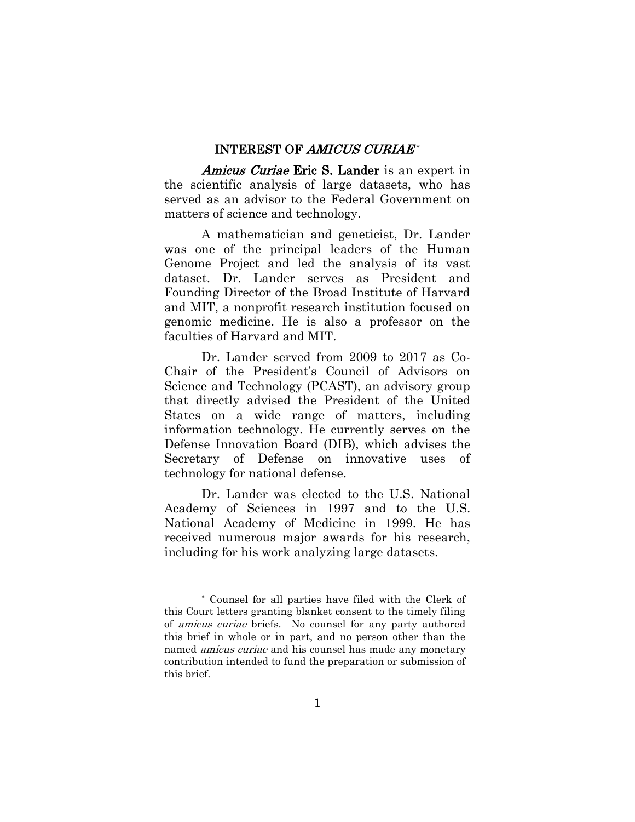#### INTEREST OF AMICUS CURIAE\*

Amicus Curiae Eric S. Lander is an expert in the scientific analysis of large datasets, who has served as an advisor to the Federal Government on matters of science and technology.

A mathematician and geneticist, Dr. Lander was one of the principal leaders of the Human Genome Project and led the analysis of its vast dataset. Dr. Lander serves as President and Founding Director of the Broad Institute of Harvard and MIT, a nonprofit research institution focused on genomic medicine. He is also a professor on the faculties of Harvard and MIT.

Dr. Lander served from 2009 to 2017 as Co-Chair of the President's Council of Advisors on Science and Technology (PCAST), an advisory group that directly advised the President of the United States on a wide range of matters, including information technology. He currently serves on the Defense Innovation Board (DIB), which advises the Secretary of Defense on innovative uses of technology for national defense.

Dr. Lander was elected to the U.S. National Academy of Sciences in 1997 and to the U.S. National Academy of Medicine in 1999. He has received numerous major awards for his research, including for his work analyzing large datasets.

Counsel for all parties have filed with the Clerk of this Court letters granting blanket consent to the timely filing of amicus curiae briefs. No counsel for any party authored this brief in whole or in part, and no person other than the named amicus curiae and his counsel has made any monetary contribution intended to fund the preparation or submission of this brief.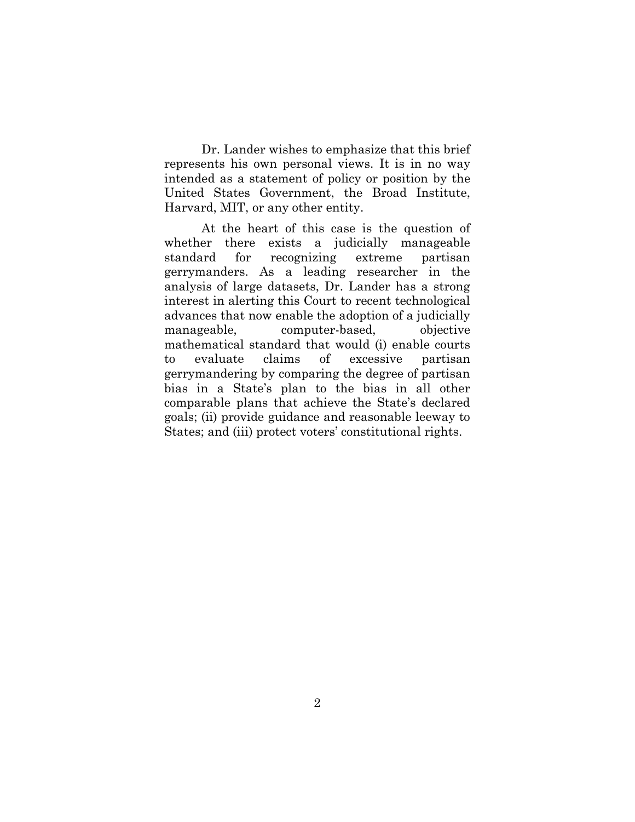Dr. Lander wishes to emphasize that this brief represents his own personal views. It is in no way intended as a statement of policy or position by the United States Government, the Broad Institute, Harvard, MIT, or any other entity.

At the heart of this case is the question of whether there exists a judicially manageable standard for recognizing extreme partisan gerrymanders. As a leading researcher in the analysis of large datasets, Dr. Lander has a strong interest in alerting this Court to recent technological advances that now enable the adoption of a judicially manageable, computer-based, objective mathematical standard that would (i) enable courts to evaluate claims of excessive partisan gerrymandering by comparing the degree of partisan bias in a State's plan to the bias in all other comparable plans that achieve the State's declared goals; (ii) provide guidance and reasonable leeway to States; and (iii) protect voters' constitutional rights.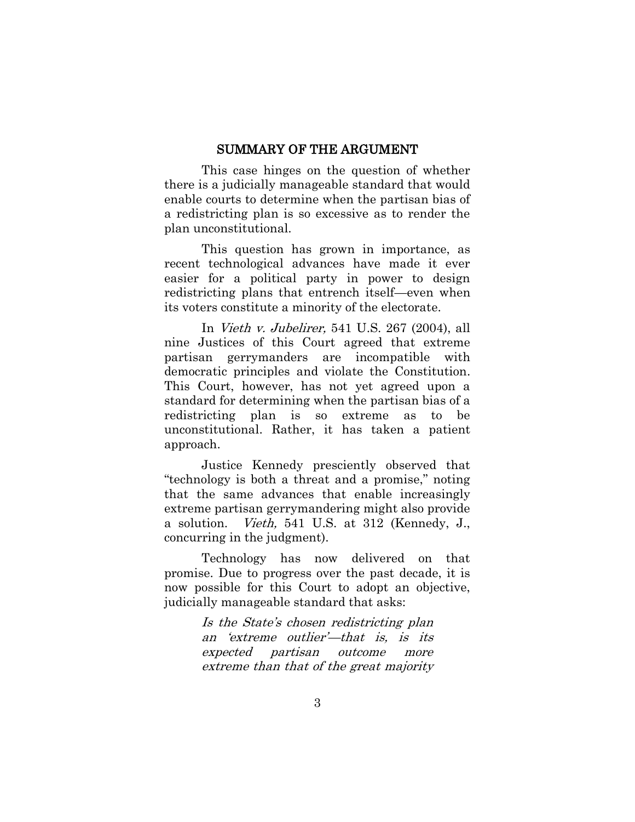#### SUMMARY OF THE ARGUMENT

This case hinges on the question of whether there is a judicially manageable standard that would enable courts to determine when the partisan bias of a redistricting plan is so excessive as to render the plan unconstitutional.

This question has grown in importance, as recent technological advances have made it ever easier for a political party in power to design redistricting plans that entrench itself—even when its voters constitute a minority of the electorate.

In Vieth v. Jubelirer, 541 U.S. 267 (2004), all nine Justices of this Court agreed that extreme partisan gerrymanders are incompatible with democratic principles and violate the Constitution. This Court, however, has not yet agreed upon a standard for determining when the partisan bias of a redistricting plan is so extreme as to be unconstitutional. Rather, it has taken a patient approach.

Justice Kennedy presciently observed that "technology is both a threat and a promise," noting that the same advances that enable increasingly extreme partisan gerrymandering might also provide a solution. Vieth, 541 U.S. at 312 (Kennedy, J., concurring in the judgment).

Technology has now delivered on that promise. Due to progress over the past decade, it is now possible for this Court to adopt an objective, judicially manageable standard that asks:

> Is the State's chosen redistricting plan an 'extreme outlier'—that is, is its expected partisan outcome more extreme than that of the great majority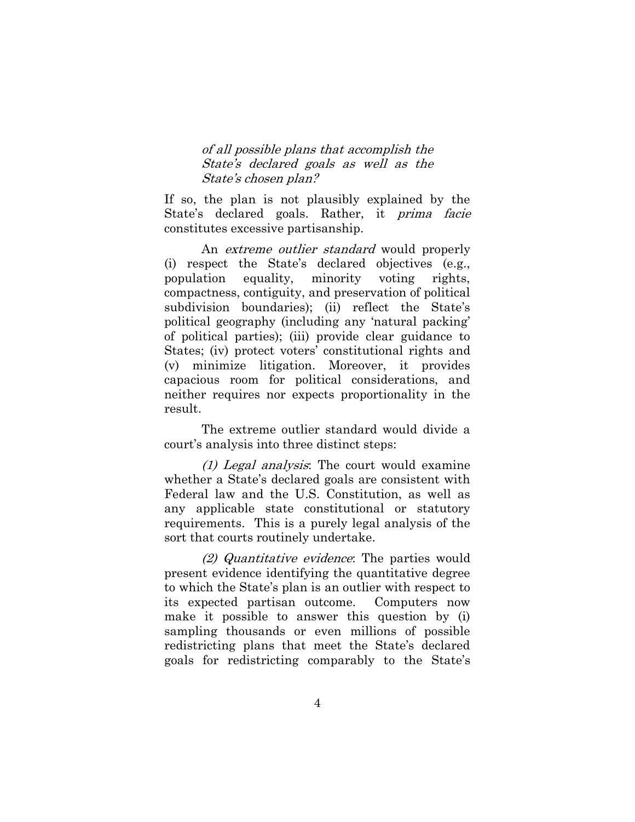of all possible plans that accomplish the State's declared goals as well as the State's chosen plan?

If so, the plan is not plausibly explained by the State's declared goals. Rather, it prima facie constitutes excessive partisanship.

An *extreme outlier standard* would properly (i) respect the State's declared objectives (e.g., population equality, minority voting rights, compactness, contiguity, and preservation of political subdivision boundaries); (ii) reflect the State's political geography (including any 'natural packing' of political parties); (iii) provide clear guidance to States; (iv) protect voters' constitutional rights and (v) minimize litigation. Moreover, it provides capacious room for political considerations, and neither requires nor expects proportionality in the result.

The extreme outlier standard would divide a court's analysis into three distinct steps:

(1) Legal analysis: The court would examine whether a State's declared goals are consistent with Federal law and the U.S. Constitution, as well as any applicable state constitutional or statutory requirements. This is a purely legal analysis of the sort that courts routinely undertake.

(2) Quantitative evidence: The parties would present evidence identifying the quantitative degree to which the State's plan is an outlier with respect to its expected partisan outcome. Computers now make it possible to answer this question by (i) sampling thousands or even millions of possible redistricting plans that meet the State's declared goals for redistricting comparably to the State's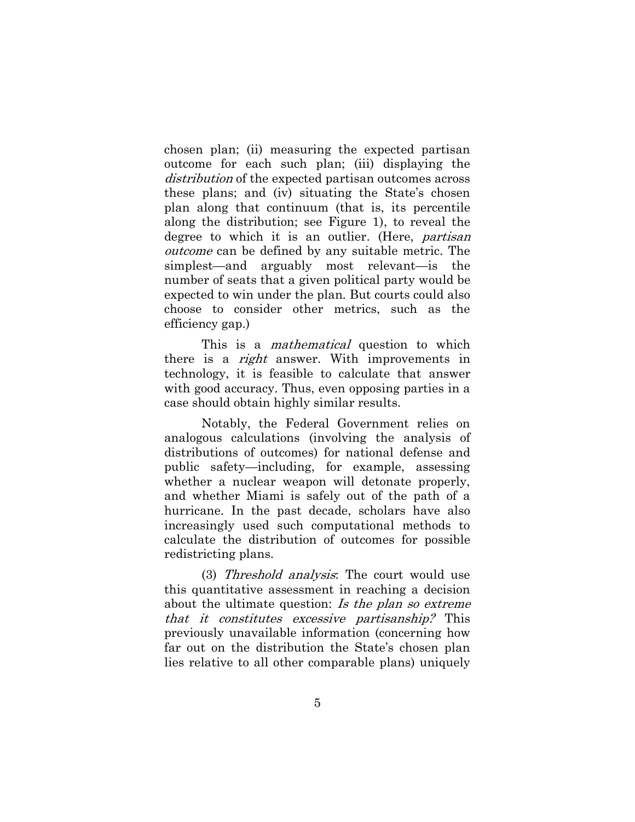chosen plan; (ii) measuring the expected partisan outcome for each such plan; (iii) displaying the distribution of the expected partisan outcomes across these plans; and (iv) situating the State's chosen plan along that continuum (that is, its percentile along the distribution; see Figure 1), to reveal the degree to which it is an outlier. (Here, *partisan* outcome can be defined by any suitable metric. The simplest—and arguably most relevant—is the number of seats that a given political party would be expected to win under the plan. But courts could also choose to consider other metrics, such as the efficiency gap.)

This is a *mathematical* question to which there is a *right* answer. With improvements in technology, it is feasible to calculate that answer with good accuracy. Thus, even opposing parties in a case should obtain highly similar results.

Notably, the Federal Government relies on analogous calculations (involving the analysis of distributions of outcomes) for national defense and public safety—including, for example, assessing whether a nuclear weapon will detonate properly, and whether Miami is safely out of the path of a hurricane. In the past decade, scholars have also increasingly used such computational methods to calculate the distribution of outcomes for possible redistricting plans.

(3) Threshold analysis: The court would use this quantitative assessment in reaching a decision about the ultimate question: Is the plan so extreme that it constitutes excessive partisanship? This previously unavailable information (concerning how far out on the distribution the State's chosen plan lies relative to all other comparable plans) uniquely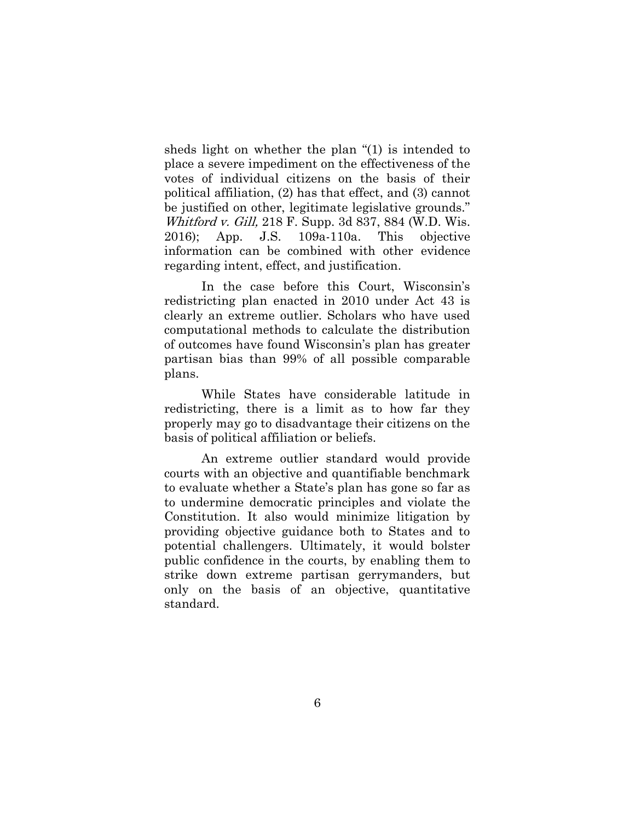sheds light on whether the plan "(1) is intended to place a severe impediment on the effectiveness of the votes of individual citizens on the basis of their political affiliation, (2) has that effect, and (3) cannot be justified on other, legitimate legislative grounds." Whitford v. Gill, 218 F. Supp. 3d 837, 884 (W.D. Wis. 2016); App. J.S. 109a-110a. This objective information can be combined with other evidence regarding intent, effect, and justification.

In the case before this Court, Wisconsin's redistricting plan enacted in 2010 under Act 43 is clearly an extreme outlier. Scholars who have used computational methods to calculate the distribution of outcomes have found Wisconsin's plan has greater partisan bias than 99% of all possible comparable plans.

While States have considerable latitude in redistricting, there is a limit as to how far they properly may go to disadvantage their citizens on the basis of political affiliation or beliefs.

An extreme outlier standard would provide courts with an objective and quantifiable benchmark to evaluate whether a State's plan has gone so far as to undermine democratic principles and violate the Constitution. It also would minimize litigation by providing objective guidance both to States and to potential challengers. Ultimately, it would bolster public confidence in the courts, by enabling them to strike down extreme partisan gerrymanders, but only on the basis of an objective, quantitative standard.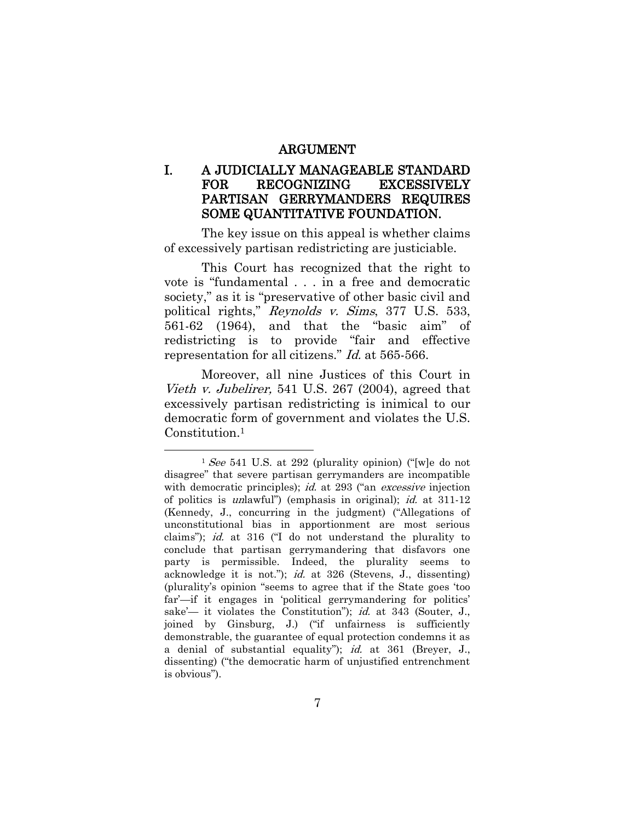#### ARGUMENT

#### I. A JUDICIALLY MANAGEABLE STANDARD FOR RECOGNIZING EXCESSIVELY PARTISAN GERRYMANDERS REQUIRES SOME QUANTITATIVE FOUNDATION.

The key issue on this appeal is whether claims of excessively partisan redistricting are justiciable.

This Court has recognized that the right to vote is "fundamental . . . in a free and democratic society," as it is "preservative of other basic civil and political rights," Reynolds v. Sims, 377 U.S. 533, 561-62 (1964), and that the "basic aim" of redistricting is to provide "fair and effective representation for all citizens." Id. at 565-566.

Moreover, all nine Justices of this Court in Vieth v. Jubelirer, 541 U.S. 267 (2004), agreed that excessively partisan redistricting is inimical to our democratic form of government and violates the U.S. Constitution. 1

 $1$  See 541 U.S. at 292 (plurality opinion) ("[w]e do not disagree" that severe partisan gerrymanders are incompatible with democratic principles); *id.* at 293 ("an *excessive* injection of politics is unlawful") (emphasis in original); id. at 311-12 (Kennedy, J., concurring in the judgment) ("Allegations of unconstitutional bias in apportionment are most serious claims"); id. at 316 ("I do not understand the plurality to conclude that partisan gerrymandering that disfavors one party is permissible. Indeed, the plurality seems to acknowledge it is not."); id. at 326 (Stevens, J., dissenting) (plurality's opinion "seems to agree that if the State goes 'too far'—if it engages in 'political gerrymandering for politics' sake'— it violates the Constitution"); *id.* at 343 (Souter, J., joined by Ginsburg, J.) ("if unfairness is sufficiently demonstrable, the guarantee of equal protection condemns it as a denial of substantial equality"); id. at 361 (Breyer, J., dissenting) ("the democratic harm of unjustified entrenchment is obvious").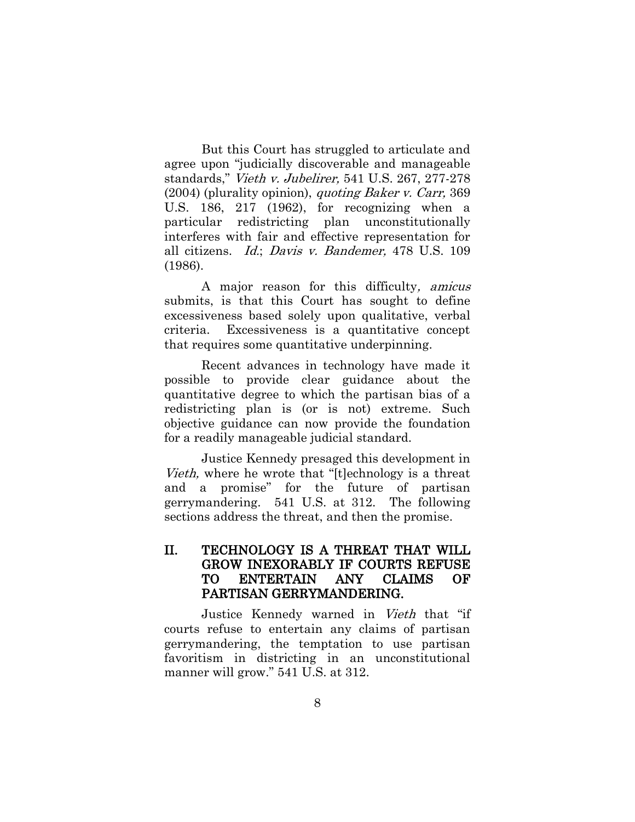But this Court has struggled to articulate and agree upon "judicially discoverable and manageable standards," Vieth v. Jubelirer, 541 U.S. 267, 277-278 (2004) (plurality opinion), quoting Baker v. Carr, 369 U.S. 186, 217 (1962), for recognizing when a particular redistricting plan unconstitutionally interferes with fair and effective representation for all citizens. Id.; Davis v. Bandemer, 478 U.S. 109 (1986).

A major reason for this difficulty, amicus submits, is that this Court has sought to define excessiveness based solely upon qualitative, verbal criteria. Excessiveness is a quantitative concept that requires some quantitative underpinning.

Recent advances in technology have made it possible to provide clear guidance about the quantitative degree to which the partisan bias of a redistricting plan is (or is not) extreme. Such objective guidance can now provide the foundation for a readily manageable judicial standard.

Justice Kennedy presaged this development in Vieth, where he wrote that "[t]echnology is a threat and a promise" for the future of partisan gerrymandering. 541 U.S. at 312. The following sections address the threat, and then the promise.

#### II. TECHNOLOGY IS A THREAT THAT WILL GROW INEXORABLY IF COURTS REFUSE TO ENTERTAIN ANY CLAIMS OF PARTISAN GERRYMANDERING.

Justice Kennedy warned in Vieth that "if courts refuse to entertain any claims of partisan gerrymandering, the temptation to use partisan favoritism in districting in an unconstitutional manner will grow." 541 U.S. at 312.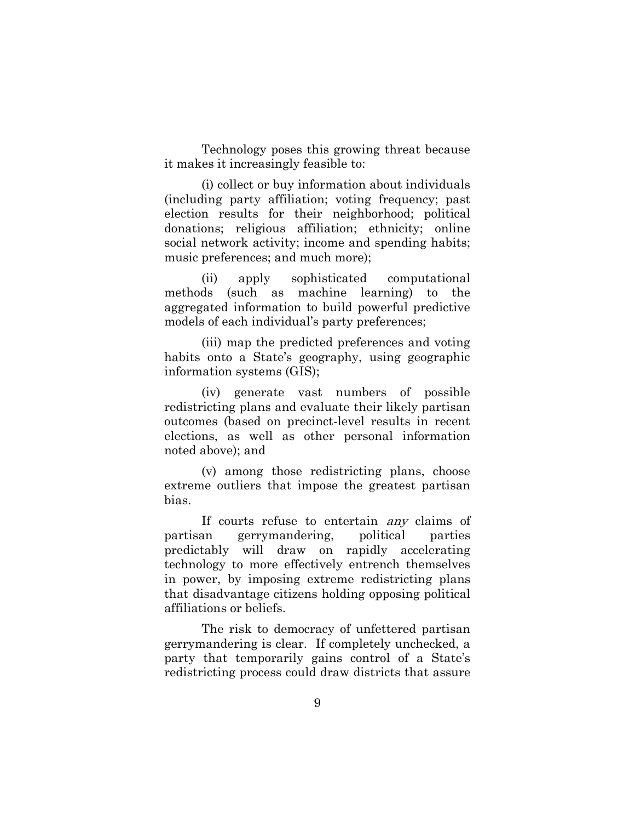Technology poses this growing threat because it makes it increasingly feasible to:

(i) collect or buy information about individuals (including party affiliation; voting frequency; past election results for their neighborhood; political donations; religious affiliation; ethnicity; online social network activity; income and spending habits; music preferences; and much more);

(ii) apply sophisticated computational methods (such as machine learning) to the aggregated information to build powerful predictive models of each individual's party preferences;

(iii) map the predicted preferences and voting habits onto a State's geography, using geographic information systems (GIS);

(iv) generate vast numbers of possible redistricting plans and evaluate their likely partisan outcomes (based on precinct-level results in recent elections, as well as other personal information noted above); and

(v) among those redistricting plans, choose extreme outliers that impose the greatest partisan bias.

If courts refuse to entertain *any* claims of partisan gerrymandering, political parties predictably will draw on rapidly accelerating technology to more effectively entrench themselves in power, by imposing extreme redistricting plans that disadvantage citizens holding opposing political affiliations or beliefs.

The risk to democracy of unfettered partisan gerrymandering is clear. If completely unchecked, a party that temporarily gains control of a State's redistricting process could draw districts that assure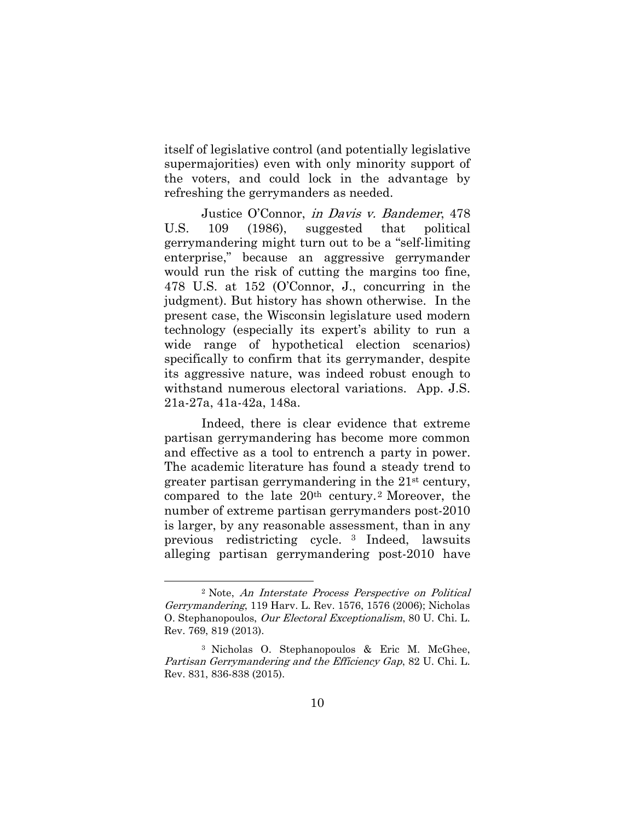itself of legislative control (and potentially legislative supermajorities) even with only minority support of the voters, and could lock in the advantage by refreshing the gerrymanders as needed.

Justice O'Connor, in Davis v. Bandemer, 478 U.S. 109 (1986), suggested that political gerrymandering might turn out to be a "self-limiting enterprise," because an aggressive gerrymander would run the risk of cutting the margins too fine, 478 U.S. at 152 (O'Connor, J., concurring in the judgment). But history has shown otherwise. In the present case, the Wisconsin legislature used modern technology (especially its expert's ability to run a wide range of hypothetical election scenarios) specifically to confirm that its gerrymander, despite its aggressive nature, was indeed robust enough to withstand numerous electoral variations. App. J.S. 21a-27a, 41a-42a, 148a.

Indeed, there is clear evidence that extreme partisan gerrymandering has become more common and effective as a tool to entrench a party in power. The academic literature has found a steady trend to greater partisan gerrymandering in the 21st century, compared to the late  $20<sup>th</sup>$  century.<sup>2</sup> Moreover, the number of extreme partisan gerrymanders post-2010 is larger, by any reasonable assessment, than in any previous redistricting cycle. <sup>3</sup> Indeed, lawsuits alleging partisan gerrymandering post-2010 have

<sup>2</sup> Note, An Interstate Process Perspective on Political Gerrymandering, 119 Harv. L. Rev. 1576, 1576 (2006); Nicholas O. Stephanopoulos, Our Electoral Exceptionalism, 80 U. Chi. L. Rev. 769, 819 (2013).

<sup>3</sup> Nicholas O. Stephanopoulos & Eric M. McGhee, Partisan Gerrymandering and the Efficiency Gap, 82 U. Chi. L. Rev. 831, 836-838 (2015).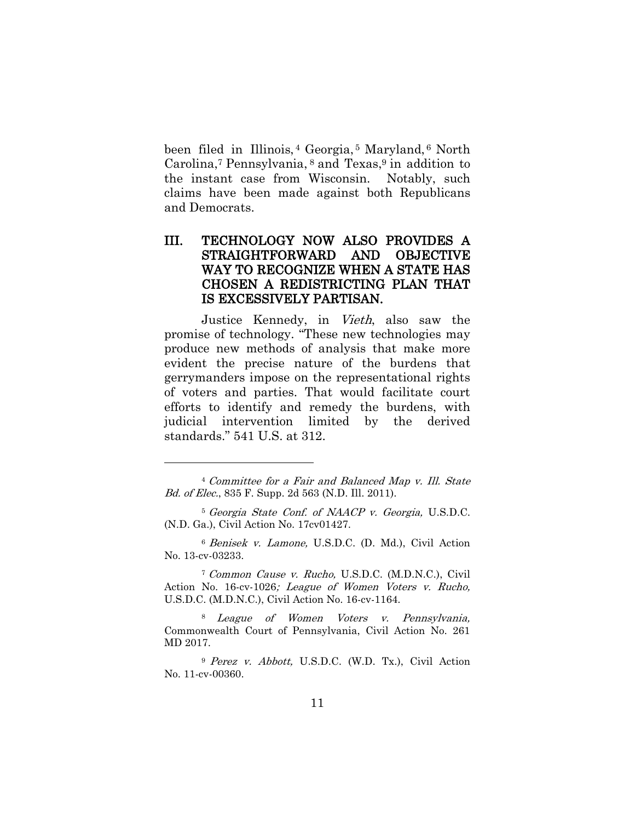been filed in Illinois, <sup>4</sup> Georgia, <sup>5</sup> Maryland, <sup>6</sup> North Carolina, <sup>7</sup> Pennsylvania, <sup>8</sup> and Texas, <sup>9</sup> in addition to the instant case from Wisconsin. Notably, such claims have been made against both Republicans and Democrats.

#### III. TECHNOLOGY NOW ALSO PROVIDES A STRAIGHTFORWARD AND OBJECTIVE WAY TO RECOGNIZE WHEN A STATE HAS CHOSEN A REDISTRICTING PLAN THAT IS EXCESSIVELY PARTISAN.

Justice Kennedy, in Vieth, also saw the promise of technology. "These new technologies may produce new methods of analysis that make more evident the precise nature of the burdens that gerrymanders impose on the representational rights of voters and parties. That would facilitate court efforts to identify and remedy the burdens, with judicial intervention limited by the derived standards." 541 U.S. at 312.

 $\overline{a}$ 

<sup>6</sup> Benisek v. Lamone, U.S.D.C. (D. Md.), Civil Action No. 13-cv-03233.

<sup>7</sup> Common Cause v. Rucho, U.S.D.C. (M.D.N.C.), Civil Action No. 16-cv-1026; League of Women Voters v. Rucho, U.S.D.C. (M.D.N.C.), Civil Action No. 16-cv-1164.

<sup>8</sup> League of Women Voters v. Pennsylvania, Commonwealth Court of Pennsylvania, Civil Action No. 261 MD 2017.

<sup>9</sup> Perez v. Abbott, U.S.D.C. (W.D. Tx.), Civil Action No. 11-cv-00360.

<sup>4</sup> Committee for a Fair and Balanced Map v. Ill. State Bd. of Elec., 835 F. Supp. 2d 563 (N.D. Ill. 2011).

<sup>5</sup> Georgia State Conf. of NAACP v. Georgia, U.S.D.C. (N.D. Ga.), Civil Action No. 17cv01427.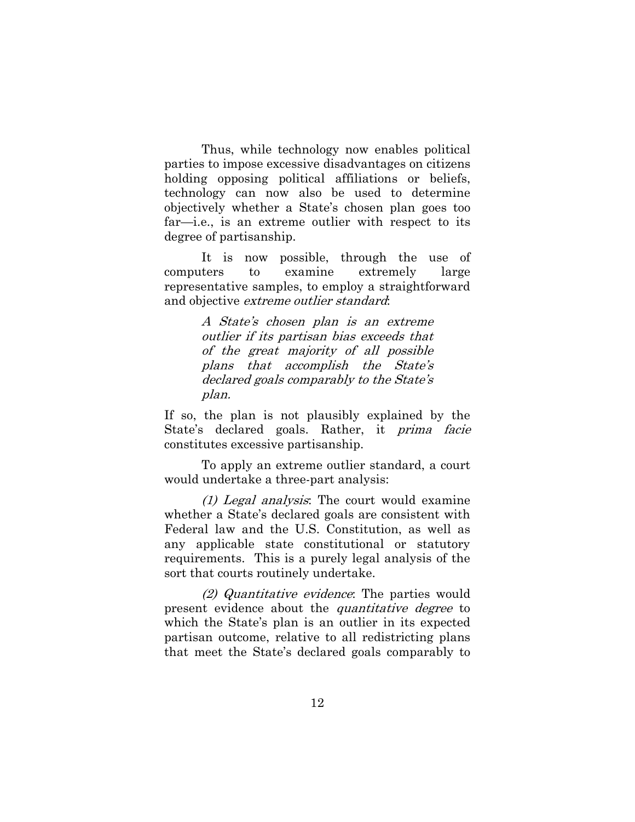Thus, while technology now enables political parties to impose excessive disadvantages on citizens holding opposing political affiliations or beliefs, technology can now also be used to determine objectively whether a State's chosen plan goes too far—i.e., is an extreme outlier with respect to its degree of partisanship.

It is now possible, through the use of computers to examine extremely large representative samples, to employ a straightforward and objective extreme outlier standard:

> A State's chosen plan is an extreme outlier if its partisan bias exceeds that of the great majority of all possible plans that accomplish the State's declared goals comparably to the State's plan.

If so, the plan is not plausibly explained by the State's declared goals. Rather, it *prima facie* constitutes excessive partisanship.

To apply an extreme outlier standard, a court would undertake a three-part analysis:

(1) Legal analysis: The court would examine whether a State's declared goals are consistent with Federal law and the U.S. Constitution, as well as any applicable state constitutional or statutory requirements. This is a purely legal analysis of the sort that courts routinely undertake.

(2) Quantitative evidence: The parties would present evidence about the *quantitative degree* to which the State's plan is an outlier in its expected partisan outcome, relative to all redistricting plans that meet the State's declared goals comparably to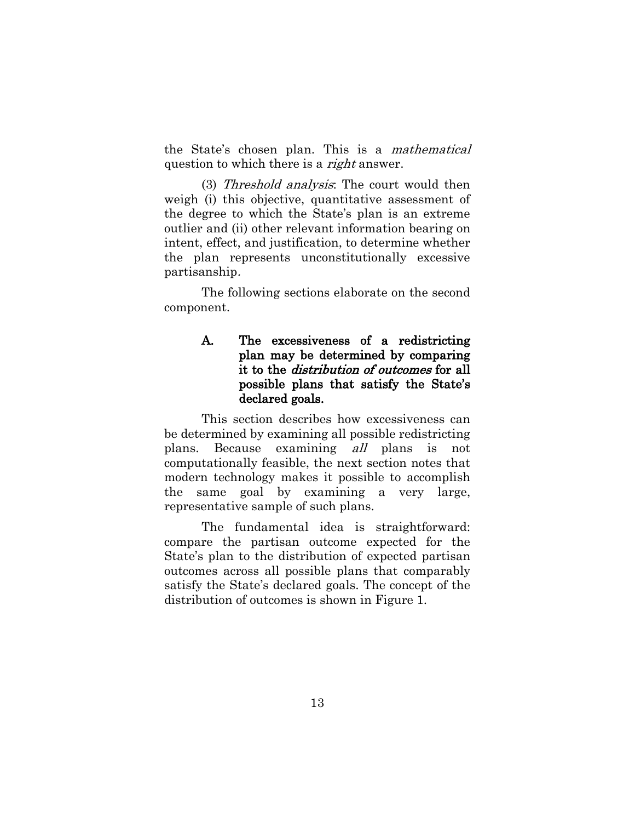the State's chosen plan. This is a mathematical question to which there is a *right* answer.

(3) Threshold analysis: The court would then weigh (i) this objective, quantitative assessment of the degree to which the State's plan is an extreme outlier and (ii) other relevant information bearing on intent, effect, and justification, to determine whether the plan represents unconstitutionally excessive partisanship.

The following sections elaborate on the second component.

#### A. The excessiveness of a redistricting plan may be determined by comparing it to the distribution of outcomes for all possible plans that satisfy the State's declared goals.

This section describes how excessiveness can be determined by examining all possible redistricting plans. Because examining all plans is not computationally feasible, the next section notes that modern technology makes it possible to accomplish the same goal by examining a very large, representative sample of such plans.

The fundamental idea is straightforward: compare the partisan outcome expected for the State's plan to the distribution of expected partisan outcomes across all possible plans that comparably satisfy the State's declared goals. The concept of the distribution of outcomes is shown in Figure 1.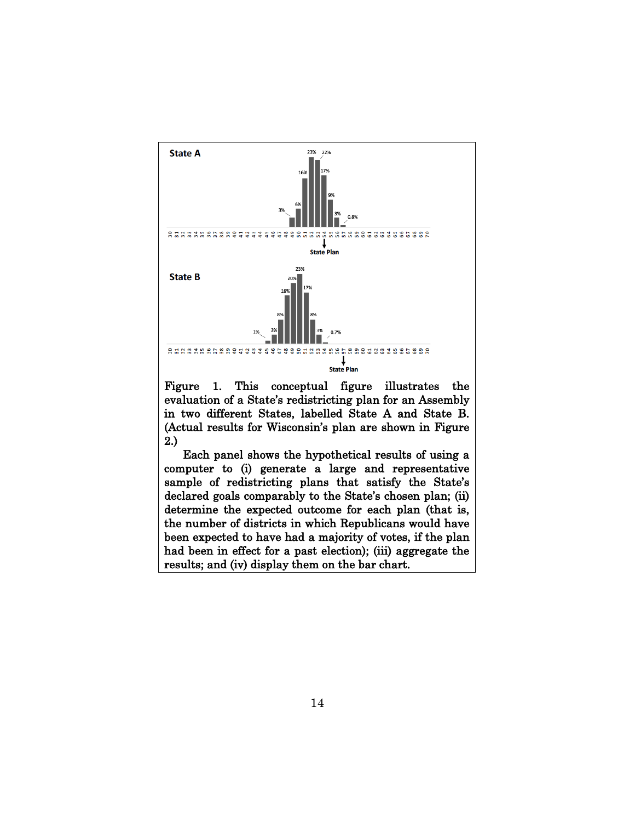

Figure 1. This conceptual figure illustrates the evaluation of a State's redistricting plan for an Assembly in two different States, labelled State A and State B. (Actual results for Wisconsin's plan are shown in Figure 2.)

Each panel shows the hypothetical results of using a computer to (i) generate a large and representative sample of redistricting plans that satisfy the State's declared goals comparably to the State's chosen plan; (ii) determine the expected outcome for each plan (that is, the number of districts in which Republicans would have been expected to have had a majority of votes, if the plan had been in effect for a past election); (iii) aggregate the results; and (iv) display them on the bar chart.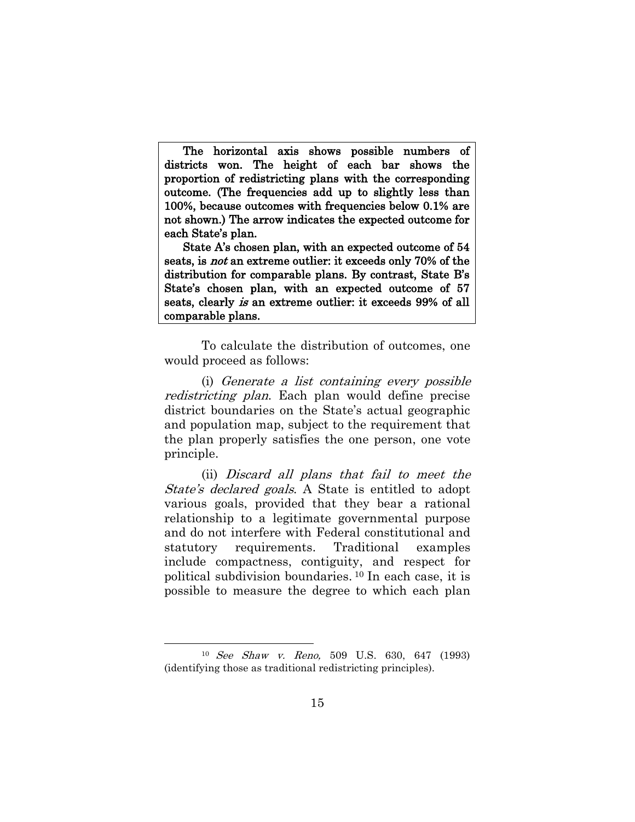The horizontal axis shows possible numbers of districts won. The height of each bar shows the proportion of redistricting plans with the corresponding outcome. (The frequencies add up to slightly less than 100%, because outcomes with frequencies below 0.1% are not shown.) The arrow indicates the expected outcome for each State's plan.

State A's chosen plan, with an expected outcome of 54 seats, is not an extreme outlier: it exceeds only 70% of the distribution for comparable plans. By contrast, State B's State's chosen plan, with an expected outcome of 57 seats, clearly is an extreme outlier: it exceeds 99% of all comparable plans.

To calculate the distribution of outcomes, one would proceed as follows:

(i) Generate a list containing every possible redistricting plan. Each plan would define precise district boundaries on the State's actual geographic and population map, subject to the requirement that the plan properly satisfies the one person, one vote principle.

(ii) Discard all plans that fail to meet the State's declared goals. A State is entitled to adopt various goals, provided that they bear a rational relationship to a legitimate governmental purpose and do not interfere with Federal constitutional and statutory requirements. Traditional examples include compactness, contiguity, and respect for political subdivision boundaries. <sup>10</sup> In each case, it is possible to measure the degree to which each plan

<sup>10</sup> See Shaw v. Reno, 509 U.S. 630, 647 (1993) (identifying those as traditional redistricting principles).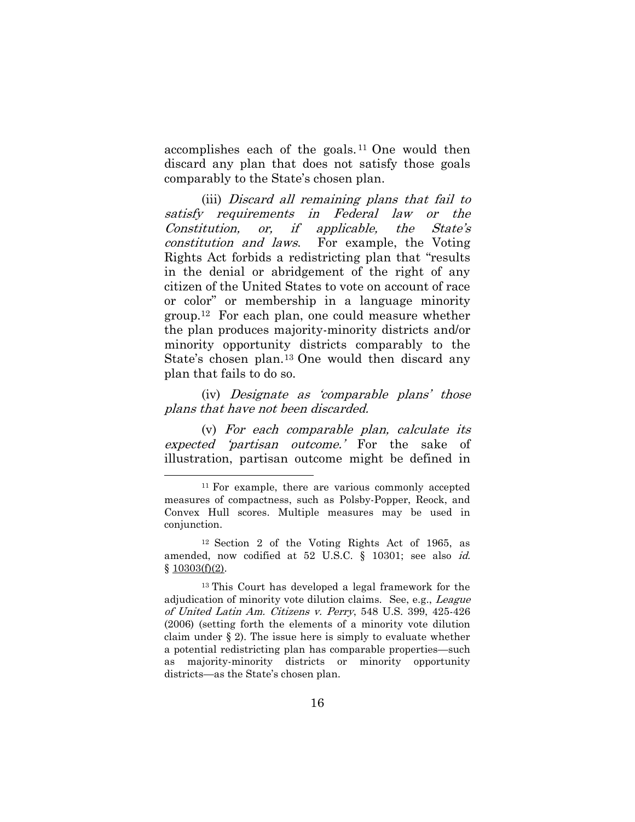accomplishes each of the goals. <sup>11</sup> One would then discard any plan that does not satisfy those goals comparably to the State's chosen plan.

(iii) Discard all remaining plans that fail to satisfy requirements in Federal law or the Constitution, or, if applicable, the State'<sup>s</sup> constitution and laws. For example, the Voting Rights Act forbids a redistricting plan that "results in the denial or abridgement of the right of any citizen of the United States to vote on account of race or color" or membership in a language minority group. <sup>12</sup> For each plan, one could measure whether the plan produces majority-minority districts and/or minority opportunity districts comparably to the State's chosen plan. <sup>13</sup> One would then discard any plan that fails to do so.

(iv) Designate as 'comparable plans' those plans that have not been discarded.

(v) For each comparable plan, calculate its expected 'partisan outcome.' For the sake of illustration, partisan outcome might be defined in

<sup>&</sup>lt;sup>11</sup> For example, there are various commonly accepted measures of compactness, such as Polsby-Popper, Reock, and Convex Hull scores. Multiple measures may be used in conjunction.

<sup>12</sup> Section 2 of the Voting Rights Act of 1965, as amended, now codified at 52 U.S.C. § 10301; see also id.  $§ 10303(f)(2).$  $§ 10303(f)(2).$ 

<sup>13</sup> This Court has developed a legal framework for the adjudication of minority vote dilution claims. See, e.g., League of United Latin Am. Citizens v. Perry, 548 U.S. 399, 425-426 (2006) (setting forth the elements of a minority vote dilution claim under § 2). The issue here is simply to evaluate whether a potential redistricting plan has comparable properties—such as majority-minority districts or minority opportunity districts—as the State's chosen plan.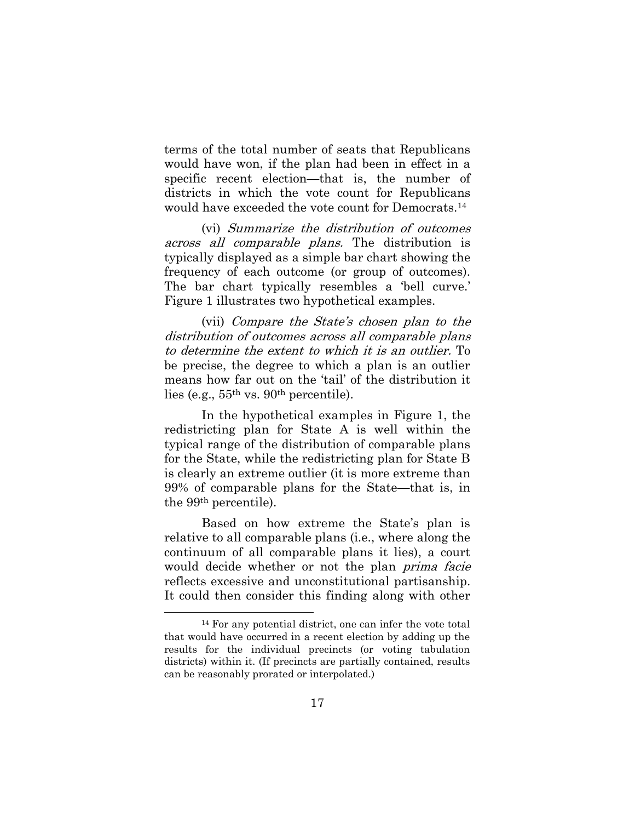terms of the total number of seats that Republicans would have won, if the plan had been in effect in a specific recent election—that is, the number of districts in which the vote count for Republicans would have exceeded the vote count for Democrats. 14

(vi) Summarize the distribution of outcomes across all comparable plans. The distribution is typically displayed as a simple bar chart showing the frequency of each outcome (or group of outcomes). The bar chart typically resembles a 'bell curve.' Figure 1 illustrates two hypothetical examples.

(vii) Compare the State's chosen plan to the distribution of outcomes across all comparable plans to determine the extent to which it is an outlier. To be precise, the degree to which a plan is an outlier means how far out on the 'tail' of the distribution it lies (e.g., 55th vs. 90th percentile).

In the hypothetical examples in Figure 1, the redistricting plan for State A is well within the typical range of the distribution of comparable plans for the State, while the redistricting plan for State B is clearly an extreme outlier (it is more extreme than 99% of comparable plans for the State—that is, in the 99th percentile).

Based on how extreme the State's plan is relative to all comparable plans (i.e., where along the continuum of all comparable plans it lies), a court would decide whether or not the plan *prima facie* reflects excessive and unconstitutional partisanship. It could then consider this finding along with other

<sup>14</sup> For any potential district, one can infer the vote total that would have occurred in a recent election by adding up the results for the individual precincts (or voting tabulation districts) within it. (If precincts are partially contained, results can be reasonably prorated or interpolated.)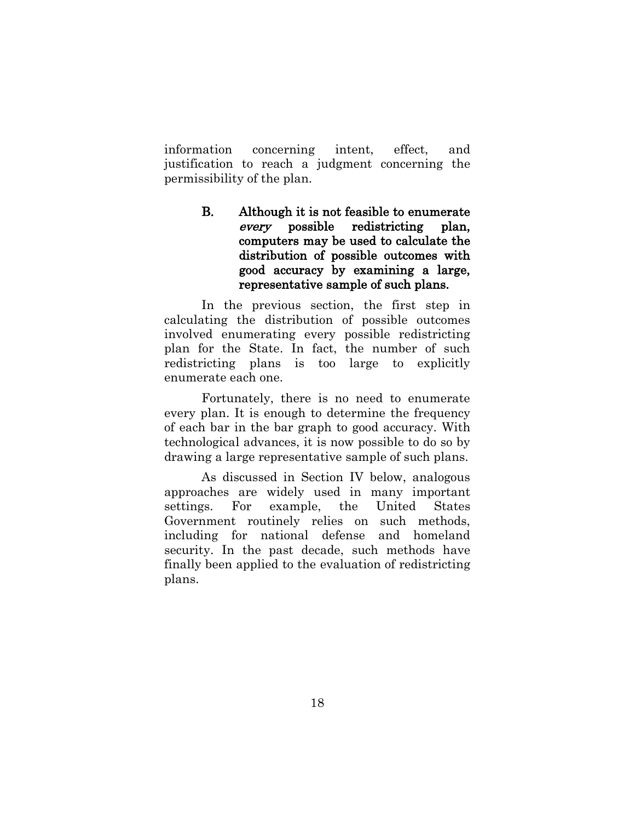information concerning intent, effect, and justification to reach a judgment concerning the permissibility of the plan.

> B. Although it is not feasible to enumerate every possible redistricting plan, computers may be used to calculate the distribution of possible outcomes with good accuracy by examining a large, representative sample of such plans.

In the previous section, the first step in calculating the distribution of possible outcomes involved enumerating every possible redistricting plan for the State. In fact, the number of such redistricting plans is too large to explicitly enumerate each one.

Fortunately, there is no need to enumerate every plan. It is enough to determine the frequency of each bar in the bar graph to good accuracy. With technological advances, it is now possible to do so by drawing a large representative sample of such plans.

As discussed in Section IV below, analogous approaches are widely used in many important settings. For example, the United States Government routinely relies on such methods, including for national defense and homeland security. In the past decade, such methods have finally been applied to the evaluation of redistricting plans.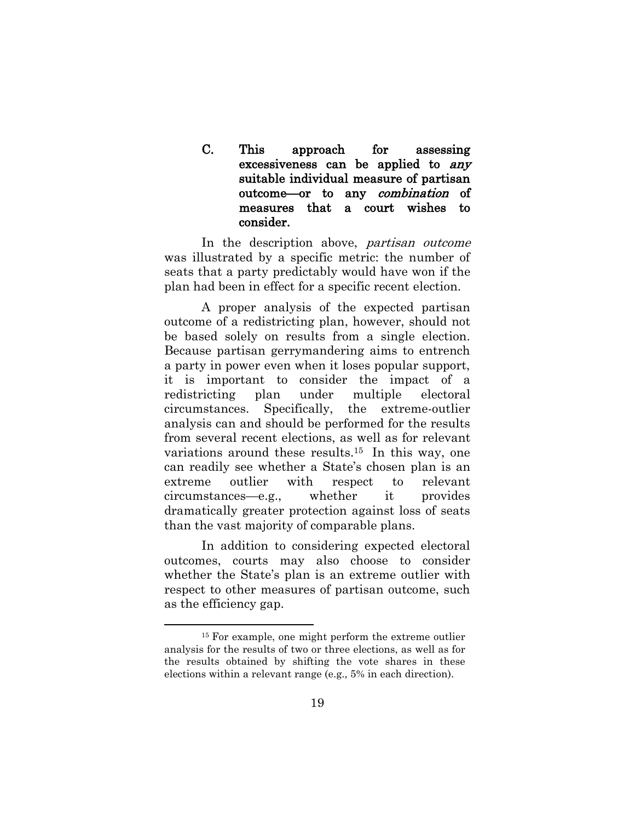#### C. This approach for assessing excessiveness can be applied to any suitable individual measure of partisan outcome—or to any combination of measures that a court wishes to consider.

In the description above, *partisan outcome* was illustrated by a specific metric: the number of seats that a party predictably would have won if the plan had been in effect for a specific recent election.

A proper analysis of the expected partisan outcome of a redistricting plan, however, should not be based solely on results from a single election. Because partisan gerrymandering aims to entrench a party in power even when it loses popular support, it is important to consider the impact of a redistricting plan under multiple electoral circumstances. Specifically, the extreme-outlier analysis can and should be performed for the results from several recent elections, as well as for relevant variations around these results. <sup>15</sup> In this way, one can readily see whether a State's chosen plan is an extreme outlier with respect to relevant circumstances—e.g., whether it provides dramatically greater protection against loss of seats than the vast majority of comparable plans.

In addition to considering expected electoral outcomes, courts may also choose to consider whether the State's plan is an extreme outlier with respect to other measures of partisan outcome, such as the efficiency gap.

<sup>15</sup> For example, one might perform the extreme outlier analysis for the results of two or three elections, as well as for the results obtained by shifting the vote shares in these elections within a relevant range (e.g., 5% in each direction).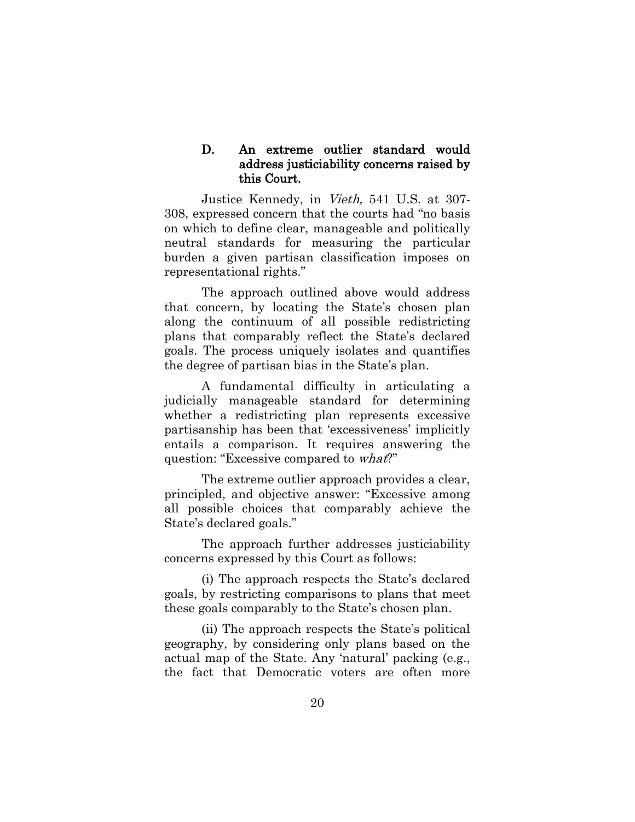#### D. An extreme outlier standard would address justiciability concerns raised by this Court.

Justice Kennedy, in Vieth, 541 U.S. at 307- 308, expressed concern that the courts had "no basis on which to define clear, manageable and politically neutral standards for measuring the particular burden a given partisan classification imposes on representational rights."

The approach outlined above would address that concern, by locating the State's chosen plan along the continuum of all possible redistricting plans that comparably reflect the State's declared goals. The process uniquely isolates and quantifies the degree of partisan bias in the State's plan.

A fundamental difficulty in articulating a judicially manageable standard for determining whether a redistricting plan represents excessive partisanship has been that 'excessiveness' implicitly entails a comparison. It requires answering the question: "Excessive compared to *what?*"

The extreme outlier approach provides a clear, principled, and objective answer: "Excessive among all possible choices that comparably achieve the State's declared goals."

The approach further addresses justiciability concerns expressed by this Court as follows:

(i) The approach respects the State's declared goals, by restricting comparisons to plans that meet these goals comparably to the State's chosen plan.

(ii) The approach respects the State's political geography, by considering only plans based on the actual map of the State. Any 'natural' packing (e.g., the fact that Democratic voters are often more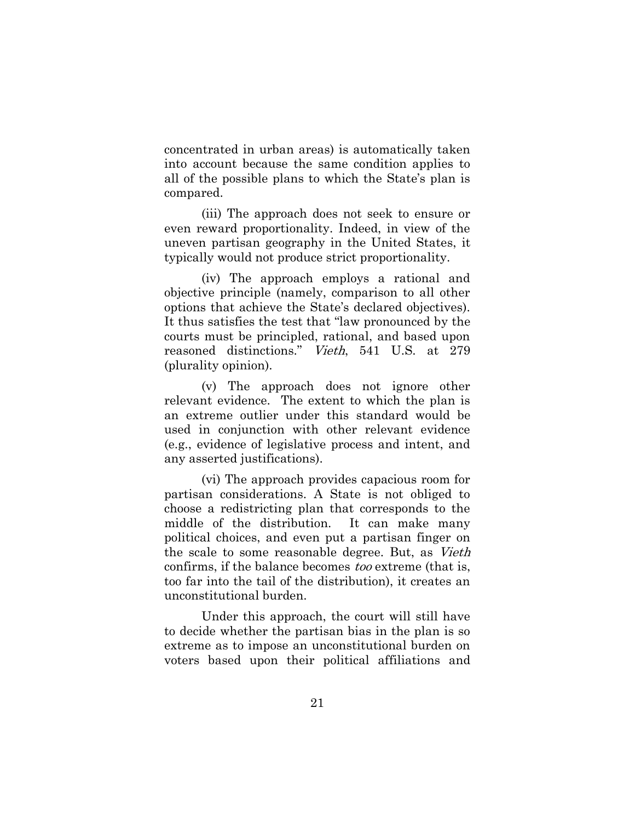concentrated in urban areas) is automatically taken into account because the same condition applies to all of the possible plans to which the State's plan is compared.

(iii) The approach does not seek to ensure or even reward proportionality. Indeed, in view of the uneven partisan geography in the United States, it typically would not produce strict proportionality.

(iv) The approach employs a rational and objective principle (namely, comparison to all other options that achieve the State's declared objectives). It thus satisfies the test that "law pronounced by the courts must be principled, rational, and based upon reasoned distinctions." Vieth, 541 U.S. at 279 (plurality opinion).

(v) The approach does not ignore other relevant evidence. The extent to which the plan is an extreme outlier under this standard would be used in conjunction with other relevant evidence (e.g., evidence of legislative process and intent, and any asserted justifications).

(vi) The approach provides capacious room for partisan considerations. A State is not obliged to choose a redistricting plan that corresponds to the middle of the distribution. It can make many political choices, and even put a partisan finger on the scale to some reasonable degree. But, as Vieth confirms, if the balance becomes too extreme (that is, too far into the tail of the distribution), it creates an unconstitutional burden.

Under this approach, the court will still have to decide whether the partisan bias in the plan is so extreme as to impose an unconstitutional burden on voters based upon their political affiliations and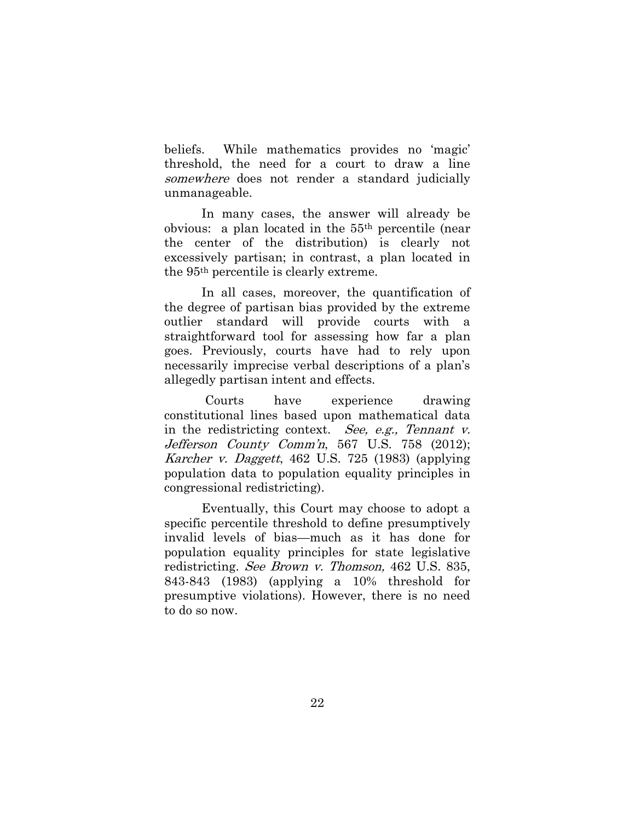beliefs. While mathematics provides no 'magic' threshold, the need for a court to draw a line somewhere does not render a standard judicially unmanageable.

In many cases, the answer will already be obvious: a plan located in the 55th percentile (near the center of the distribution) is clearly not excessively partisan; in contrast, a plan located in the 95th percentile is clearly extreme.

In all cases, moreover, the quantification of the degree of partisan bias provided by the extreme outlier standard will provide courts with a straightforward tool for assessing how far a plan goes. Previously, courts have had to rely upon necessarily imprecise verbal descriptions of a plan's allegedly partisan intent and effects.

Courts have experience drawing constitutional lines based upon mathematical data in the redistricting context. See, e.g., Tennant v. Jefferson County Comm'n, 567 U.S. 758 (2012); Karcher v. Daggett, 462 U.S. 725 (1983) (applying population data to population equality principles in congressional redistricting).

Eventually, this Court may choose to adopt a specific percentile threshold to define presumptively invalid levels of bias—much as it has done for population equality principles for state legislative redistricting. See Brown v. Thomson, 462 U.S. 835, 843-843 (1983) (applying a 10% threshold for presumptive violations). However, there is no need to do so now.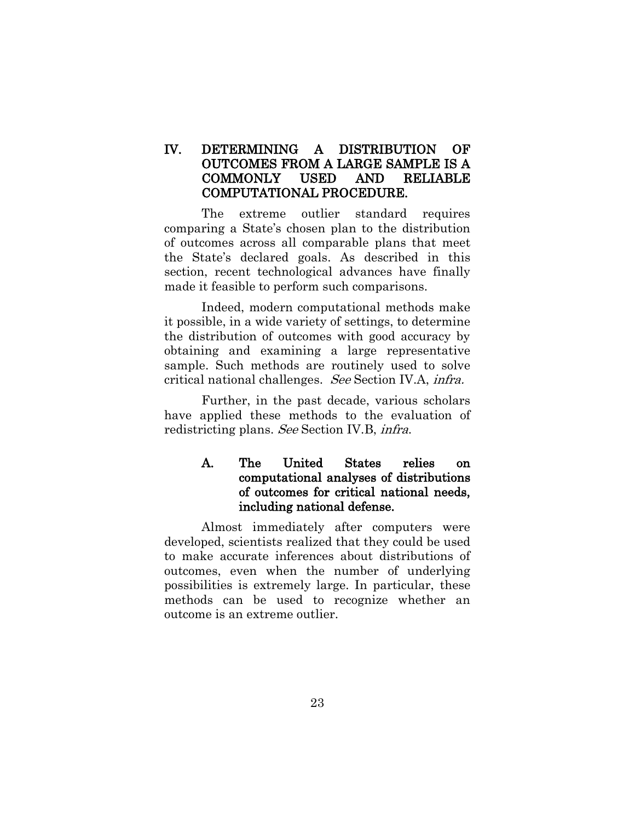#### IV. DETERMINING A DISTRIBUTION OF OUTCOMES FROM A LARGE SAMPLE IS A COMMONLY USED AND RELIABLE COMPUTATIONAL PROCEDURE.

The extreme outlier standard requires comparing a State's chosen plan to the distribution of outcomes across all comparable plans that meet the State's declared goals. As described in this section, recent technological advances have finally made it feasible to perform such comparisons.

Indeed, modern computational methods make it possible, in a wide variety of settings, to determine the distribution of outcomes with good accuracy by obtaining and examining a large representative sample. Such methods are routinely used to solve critical national challenges. See Section IV.A, infra.

Further, in the past decade, various scholars have applied these methods to the evaluation of redistricting plans. See Section IV.B, infra.

#### A. The United States relies on computational analyses of distributions of outcomes for critical national needs, including national defense.

Almost immediately after computers were developed, scientists realized that they could be used to make accurate inferences about distributions of outcomes, even when the number of underlying possibilities is extremely large. In particular, these methods can be used to recognize whether an outcome is an extreme outlier.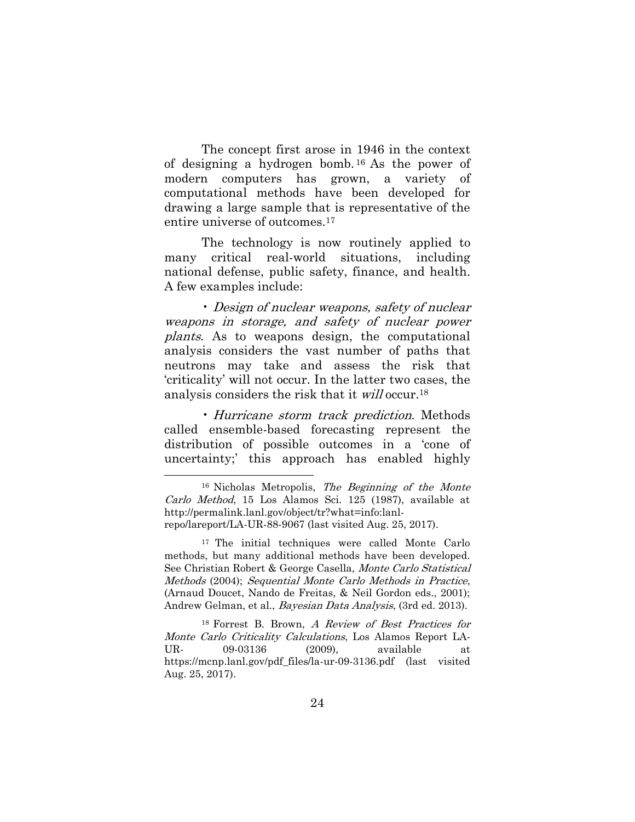The concept first arose in 1946 in the context of designing a hydrogen bomb. <sup>16</sup> As the power of modern computers has grown, a variety of computational methods have been developed for drawing a large sample that is representative of the entire universe of outcomes. 17

The technology is now routinely applied to many critical real-world situations, including national defense, public safety, finance, and health. A few examples include:

• Design of nuclear weapons, safety of nuclear weapons in storage, and safety of nuclear power plants. As to weapons design, the computational analysis considers the vast number of paths that neutrons may take and assess the risk that 'criticality' will not occur. In the latter two cases, the analysis considers the risk that it will occur.<sup>18</sup>

• Hurricane storm track prediction. Methods called ensemble-based forecasting represent the distribution of possible outcomes in a 'cone of uncertainty;' this approach has enabled highly

 $\overline{a}$ 

<sup>18</sup> Forrest B. Brown, A Review of Best Practices for Monte Carlo Criticality Calculations, Los Alamos Report LA-UR- 09-03136 (2009), available at https://mcnp.lanl.gov/pdf\_files/la-ur-09-3136.pdf (last visited Aug. 25, 2017).

 $16$  Nicholas Metropolis, The Beginning of the Monte Carlo Method, 15 Los Alamos Sci. 125 (1987), available at [http://permalink.lanl.gov/object/tr?what=](http://permalink.lanl.gov/object/tr?what)info:lanlrepo/lareport/LA-UR-88-9067 (last visited Aug. 25, 2017).

<sup>&</sup>lt;sup>17</sup> The initial techniques were called Monte Carlo methods, but many additional methods have been developed. See Christian Robert & George Casella, Monte Carlo Statistical Methods (2004); Sequential Monte Carlo Methods in Practice, (Arnaud Doucet, Nando de Freitas, & Neil Gordon eds., 2001); Andrew Gelman, et al., Bayesian Data Analysis, (3rd ed. 2013).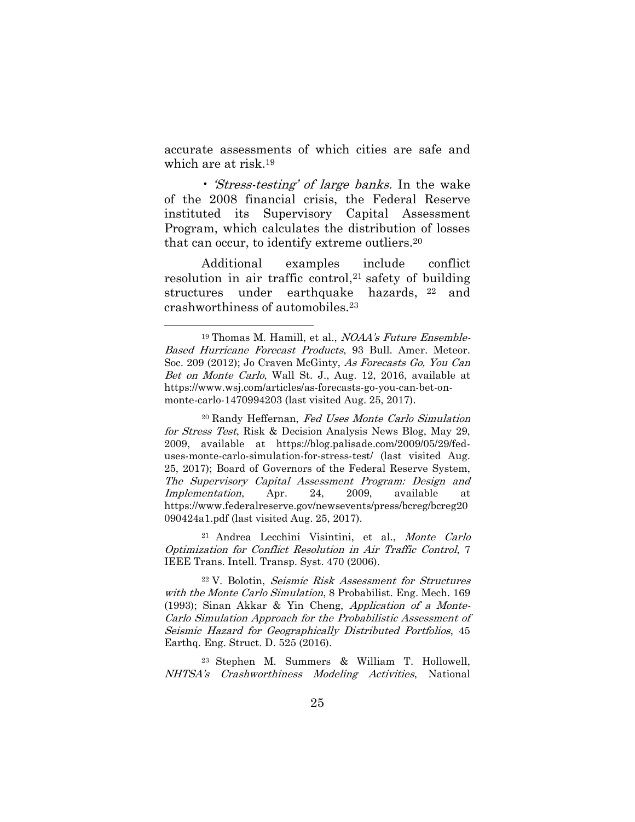accurate assessments of which cities are safe and which are at risk. 19

• *Stress-testing' of large banks*. In the wake of the 2008 financial crisis, the Federal Reserve instituted its Supervisory Capital Assessment Program, which calculates the distribution of losses that can occur, to identify extreme outliers.<sup>20</sup>

Additional examples include conflict resolution in air traffic control, <sup>21</sup> safety of building structures under earthquake hazards, <sup>22</sup> and crashworthiness of automobiles. 23

 $\overline{a}$ 

<sup>20</sup> Randy Heffernan, Fed Uses Monte Carlo Simulation for Stress Test, Risk & Decision Analysis News Blog, May 29, 2009, available at https://blog.palisade.com/2009/05/29/feduses-monte-carlo-simulation-for-stress-test/ (last visited Aug. 25, 2017); Board of Governors of the Federal Reserve System, The Supervisory Capital Assessment Program: Design and Implementation, Apr. 24, 2009, available at [https://www.](https://www/)federalreserve.gov/newsevents/press/bcreg/bcreg20 090424a1.pdf (last visited Aug. 25, 2017).

<sup>21</sup> Andrea Lecchini Visintini, et al., Monte Carlo Optimization for Conflict Resolution in Air Traffic Control, 7 IEEE Trans. Intell. Transp. Syst. 470 (2006).

<sup>22</sup> V. Bolotin, Seismic Risk Assessment for Structures with the Monte Carlo Simulation, 8 Probabilist. Eng. Mech. 169 (1993); Sinan Akkar & Yin Cheng, Application of a Monte-Carlo Simulation Approach for the Probabilistic Assessment of Seismic Hazard for Geographically Distributed Portfolios, 45 Earthq. Eng. Struct. D. 525 (2016).

<sup>23</sup> Stephen M. Summers & William T. Hollowell, NHTSA's Crashworthiness Modeling Activities, National

<sup>&</sup>lt;sup>19</sup> Thomas M. Hamill, et al., *NOAA's Future Ensemble-*Based Hurricane Forecast Products, 93 Bull. Amer. Meteor. Soc. 209 (2012); Jo Craven McGinty, As Forecasts Go, You Can Bet on Monte Carlo, Wall St. J., Aug. 12, 2016, available at [https://www.wsj.com/articles/a](https://www.wsj.com/articles/)s-forecasts-go-you-can-bet-onmonte-carlo-1470994203 (last visited Aug. 25, 2017).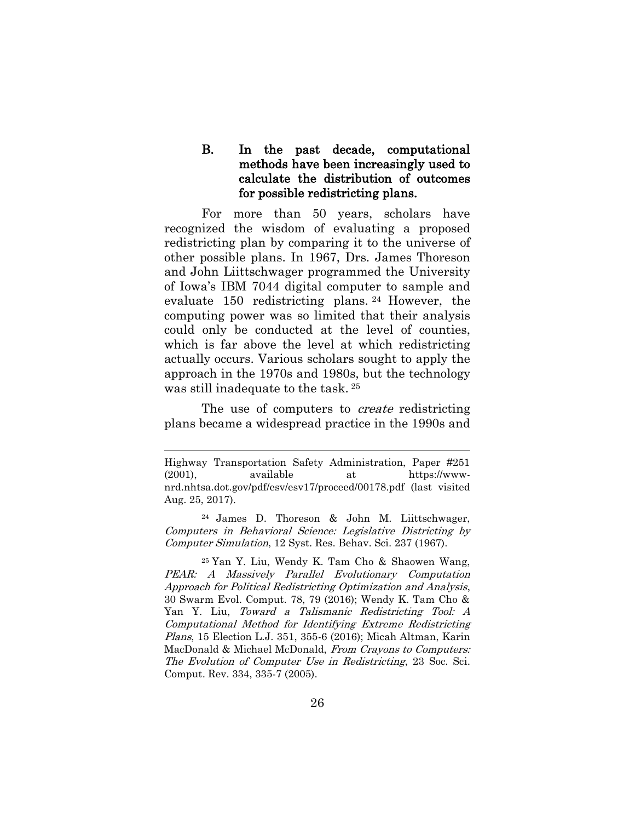B. In the past decade, computational methods have been increasingly used to calculate the distribution of outcomes for possible redistricting plans.

For more than 50 years, scholars have recognized the wisdom of evaluating a proposed redistricting plan by comparing it to the universe of other possible plans. In 1967, Drs. James Thoreson and John Liittschwager programmed the University of Iowa's IBM 7044 digital computer to sample and evaluate 150 redistricting plans. <sup>24</sup> However, the computing power was so limited that their analysis could only be conducted at the level of counties, which is far above the level at which redistricting actually occurs. Various scholars sought to apply the approach in the 1970s and 1980s, but the technology was still inadequate to the task. <sup>25</sup>

The use of computers to *create* redistricting plans became a widespread practice in the 1990s and

Highway Transportation Safety Administration, Paper #251 (2001), available at [https://www](https://www-nrd.nhtsa.dot.gov/)[nrd.nhtsa.dot.gov/p](https://www-nrd.nhtsa.dot.gov/)df/esv/esv17/proceed/00178.pdf (last visited Aug. 25, 2017).

<sup>24</sup> James D. Thoreson & John M. Liittschwager, Computers in Behavioral Science: Legislative Districting by Computer Simulation, 12 Syst. Res. Behav. Sci. 237 (1967).

<sup>25</sup> Yan Y. Liu, Wendy K. Tam Cho & Shaowen Wang, PEAR: A Massively Parallel Evolutionary Computation Approach for Political Redistricting Optimization and Analysis, 30 Swarm Evol. Comput. 78, 79 (2016); Wendy K. Tam Cho & Yan Y. Liu, Toward a Talismanic Redistricting Tool: A Computational Method for Identifying Extreme Redistricting Plans, 15 Election L.J. 351, 355-6 (2016); Micah Altman, Karin MacDonald & Michael McDonald, From Crayons to Computers: The Evolution of Computer Use in Redistricting, 23 Soc. Sci. Comput. Rev. 334, 335-7 (2005).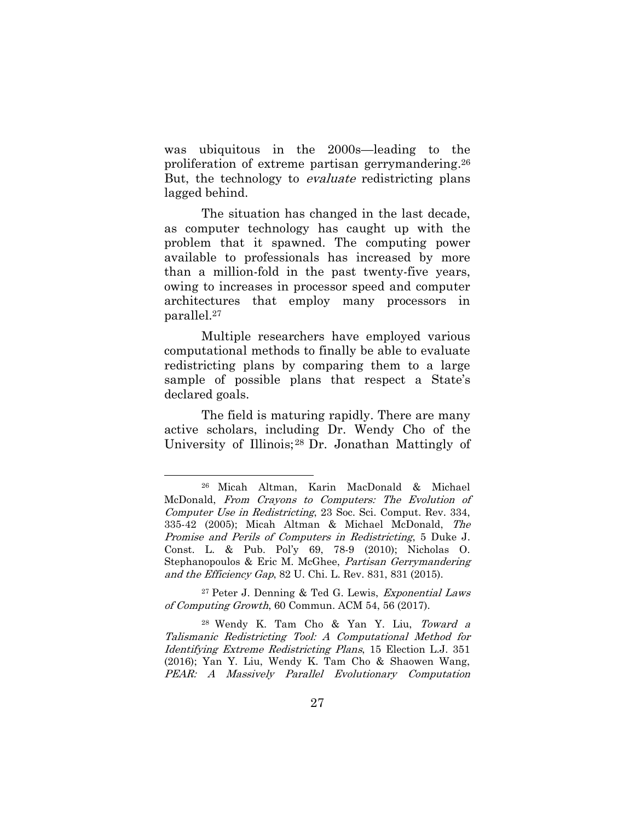was ubiquitous in the 2000s—leading to the proliferation of extreme partisan gerrymandering. 26 But, the technology to *evaluate* redistricting plans lagged behind.

The situation has changed in the last decade, as computer technology has caught up with the problem that it spawned. The computing power available to professionals has increased by more than a million-fold in the past twenty-five years, owing to increases in processor speed and computer architectures that employ many processors in parallel.<sup>27</sup>

Multiple researchers have employed various computational methods to finally be able to evaluate redistricting plans by comparing them to a large sample of possible plans that respect a State's declared goals.

The field is maturing rapidly. There are many active scholars, including Dr. Wendy Cho of the University of Illinois;<sup>28</sup> Dr. Jonathan Mattingly of

 $\overline{a}$ 

<sup>27</sup> Peter J. Denning & Ted G. Lewis, Exponential Laws of Computing Growth, 60 Commun. ACM 54, 56 (2017).

<sup>28</sup> Wendy K. Tam Cho & Yan Y. Liu, Toward a Talismanic Redistricting Tool: A Computational Method for Identifying Extreme Redistricting Plans, 15 Election L.J. 351 (2016); Yan Y. Liu, Wendy K. Tam Cho & Shaowen Wang, PEAR: A Massively Parallel Evolutionary Computation

<sup>26</sup> Micah Altman, Karin MacDonald & Michael McDonald, From Crayons to Computers: The Evolution of Computer Use in Redistricting, 23 Soc. Sci. Comput. Rev. 334, 335-42 (2005); Micah Altman & Michael McDonald, The Promise and Perils of Computers in Redistricting, 5 Duke J. Const. L. & Pub. Pol'y 69, 78-9 (2010); Nicholas O. Stephanopoulos & Eric M. McGhee, Partisan Gerrymandering and the Efficiency Gap, 82 U. Chi. L. Rev. 831, 831 (2015).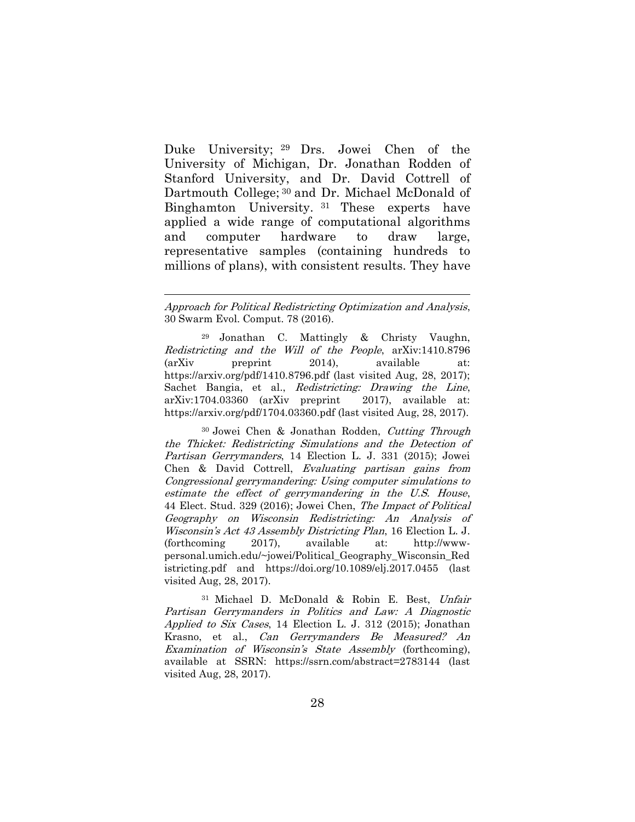Duke University; <sup>29</sup> Drs. Jowei Chen of the University of Michigan, Dr. Jonathan Rodden of Stanford University, and Dr. David Cottrell of Dartmouth College; <sup>30</sup> and Dr. Michael McDonald of Binghamton University. <sup>31</sup> These experts have applied a wide range of computational algorithms and computer hardware to draw large, representative samples (containing hundreds to millions of plans), with consistent results. They have

 $\overline{a}$ 

<sup>29</sup> Jonathan C. Mattingly & Christy Vaughn, Redistricting and the Will of the People, arXiv:1410.8796 (arXiv preprint 2014), available at: <https://arxiv.org/>pdf/1410.8796.pdf (last visited Aug, 28, 2017); Sachet Bangia, et al., Redistricting: Drawing the Line, arXiv:1704.03360 (arXiv preprint 2017), available at: [https://arxiv.org/pdf/1704.03360.](https://arxiv.org/pdf/1704.03360)pdf (last visited Aug, 28, 2017).

<sup>30</sup> Jowei Chen & Jonathan Rodden, Cutting Through the Thicket: Redistricting Simulations and the Detection of Partisan Gerrymanders, 14 Election L. J. 331 (2015); Jowei Chen & David Cottrell, Evaluating partisan gains from Congressional gerrymandering: Using computer simulations to estimate the effect of gerrymandering in the U.S. House, 44 Elect. Stud. 329 (2016); Jowei Chen, The Impact of Political Geography on Wisconsin Redistricting: An Analysis of Wisconsin's Act 43 Assembly Districting Plan, 16 Election L. J. (forthcoming 2017), available at: [http://www](http://www-personal/)[personal.](http://www-personal/)umich.edu/~jowei/Political\_Geography\_Wisconsin\_Red istricting.pdf and <https://doi.org/10.1089/elj.2017.0455> (last visited Aug, 28, 2017).

<sup>31</sup> Michael D. McDonald & Robin E. Best, Unfair Partisan Gerrymanders in Politics and Law: A Diagnostic Applied to Six Cases, 14 Election L. J. 312 (2015); Jonathan Krasno, et al., Can Gerrymanders Be Measured? An Examination of Wisconsin's State Assembly (forthcoming), available at SSRN: https://ssrn.com/abstract=2783144 (last visited Aug, 28, 2017).

Approach for Political Redistricting Optimization and Analysis, 30 Swarm Evol. Comput. 78 (2016).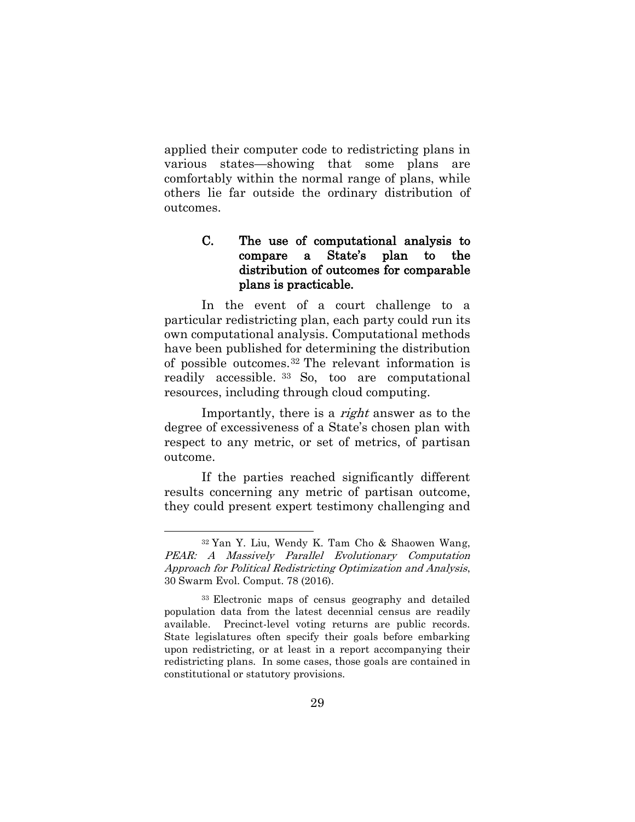applied their computer code to redistricting plans in various states—showing that some plans are comfortably within the normal range of plans, while others lie far outside the ordinary distribution of outcomes.

#### C. The use of computational analysis to compare a State's plan to the distribution of outcomes for comparable plans is practicable.

In the event of a court challenge to a particular redistricting plan, each party could run its own computational analysis. Computational methods have been published for determining the distribution of possible outcomes.<sup>32</sup> The relevant information is readily accessible. <sup>33</sup> So, too are computational resources, including through cloud computing.

Importantly, there is a right answer as to the degree of excessiveness of a State's chosen plan with respect to any metric, or set of metrics, of partisan outcome.

If the parties reached significantly different results concerning any metric of partisan outcome, they could present expert testimony challenging and

<sup>32</sup> Yan Y. Liu, Wendy K. Tam Cho & Shaowen Wang, PEAR: A Massively Parallel Evolutionary Computation Approach for Political Redistricting Optimization and Analysis, 30 Swarm Evol. Comput. 78 (2016).

<sup>33</sup> Electronic maps of census geography and detailed population data from the latest decennial census are readily available. Precinct-level voting returns are public records. State legislatures often specify their goals before embarking upon redistricting, or at least in a report accompanying their redistricting plans. In some cases, those goals are contained in constitutional or statutory provisions.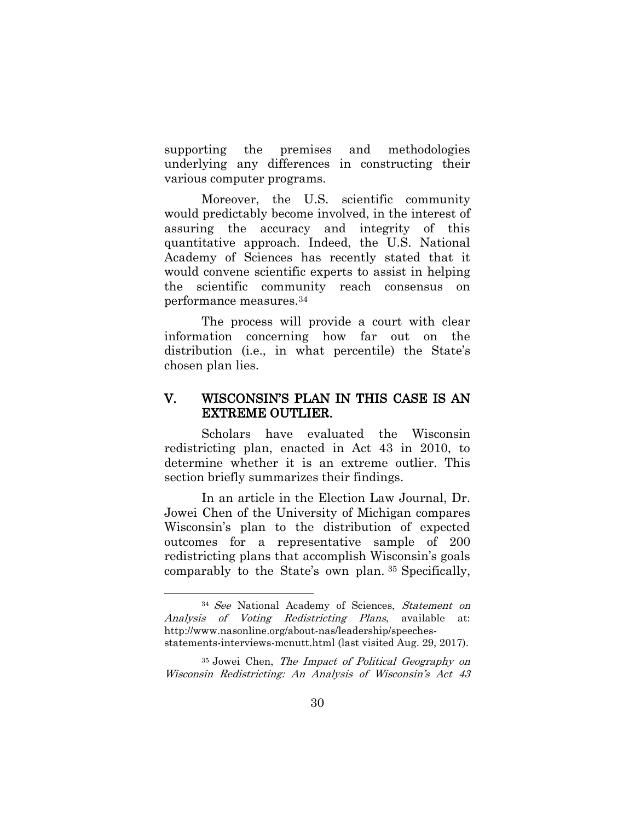supporting the premises and methodologies underlying any differences in constructing their various computer programs.

Moreover, the U.S. scientific community would predictably become involved, in the interest of assuring the accuracy and integrity of this quantitative approach. Indeed, the U.S. National Academy of Sciences has recently stated that it would convene scientific experts to assist in helping the scientific community reach consensus on performance measures. 34

The process will provide a court with clear information concerning how far out on the distribution (i.e., in what percentile) the State's chosen plan lies.

#### V. WISCONSIN'S PLAN IN THIS CASE IS AN EXTREME OUTLIER.

Scholars have evaluated the Wisconsin redistricting plan, enacted in Act 43 in 2010, to determine whether it is an extreme outlier. This section briefly summarizes their findings.

In an article in the Election Law Journal, Dr. Jowei Chen of the University of Michigan compares Wisconsin's plan to the distribution of expected outcomes for a representative sample of 200 redistricting plans that accomplish Wisconsin's goals comparably to the State's own plan. <sup>35</sup> Specifically,

<sup>&</sup>lt;sup>34</sup> See National Academy of Sciences, Statement on Analysis of Voting Redistricting Plans, available at: [http://www.nasonline.](http://www.nasonline/)org/about-nas/leadership/speechesstatements-interviews-mcnutt.html (last visited Aug. 29, 2017).

<sup>&</sup>lt;sup>35</sup> Jowei Chen, The Impact of Political Geography on Wisconsin Redistricting: An Analysis of Wisconsin's Act 43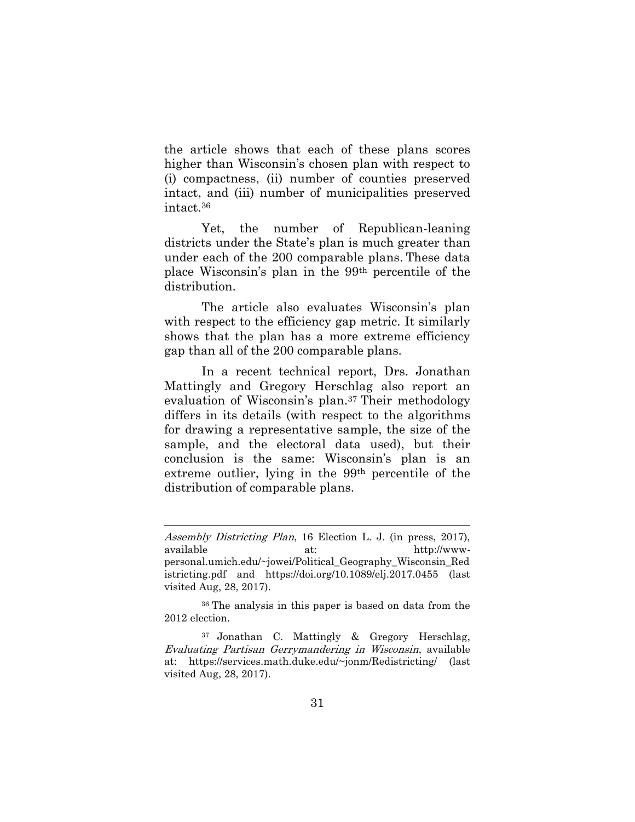the article shows that each of these plans scores higher than Wisconsin's chosen plan with respect to (i) compactness, (ii) number of counties preserved intact, and (iii) number of municipalities preserved intact.<sup>36</sup>

Yet, the number of Republican-leaning districts under the State's plan is much greater than under each of the 200 comparable plans. These data place Wisconsin's plan in the 99th percentile of the distribution.

The article also evaluates Wisconsin's plan with respect to the efficiency gap metric. It similarly shows that the plan has a more extreme efficiency gap than all of the 200 comparable plans.

In a recent technical report, Drs. Jonathan Mattingly and Gregory Herschlag also report an evaluation of Wisconsin's plan.<sup>37</sup> Their methodology differs in its details (with respect to the algorithms for drawing a representative sample, the size of the sample, and the electoral data used), but their conclusion is the same: Wisconsin's plan is an extreme outlier, lying in the 99th percentile of the distribution of comparable plans.

Assembly Districting Plan, 16 Election L. J. (in press, 2017), available at: http://wwwpersonal.umich.edu/~jowei/Political\_Geography\_Wisconsin\_Red istricting.pdf and https://doi.org/10.1089/elj.2017.0455 (last visited Aug, 28, 2017).

<sup>36</sup> The analysis in this paper is based on data from the 2012 election.

<sup>37</sup> Jonathan C. Mattingly & Gregory Herschlag, Evaluating Partisan Gerrymandering in Wisconsin, available at: [https://services.math.duke.edu/~jonm/R](https://services.math.duke.edu/~jonm/)edistricting/ (last visited Aug, 28, 2017).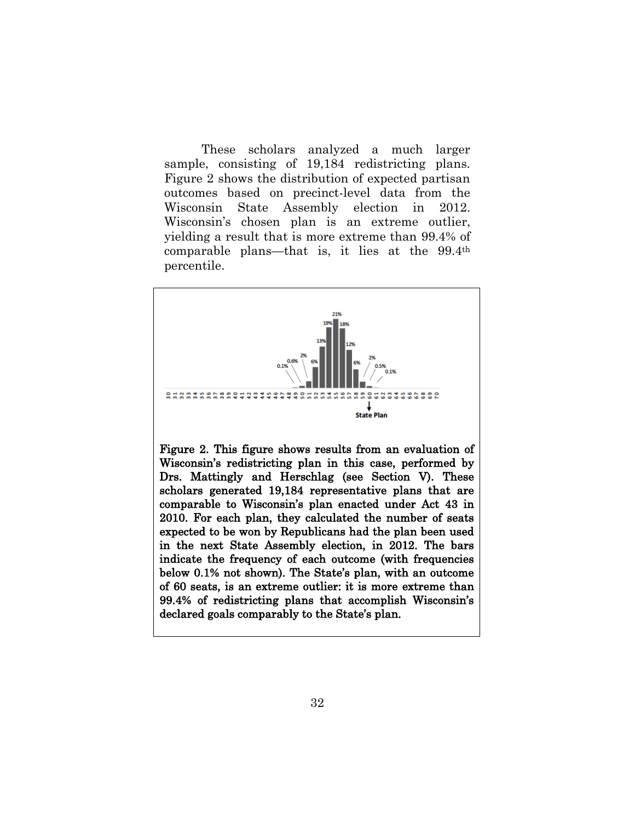These scholars analyzed a much larger sample, consisting of 19,184 redistricting plans. Figure 2 shows the distribution of expected partisan outcomes based on precinct-level data from the Wisconsin State Assembly election in 2012. Wisconsin's chosen plan is an extreme outlier, yielding a result that is more extreme than 99.4% of comparable plans—that is, it lies at the 99.4th percentile.

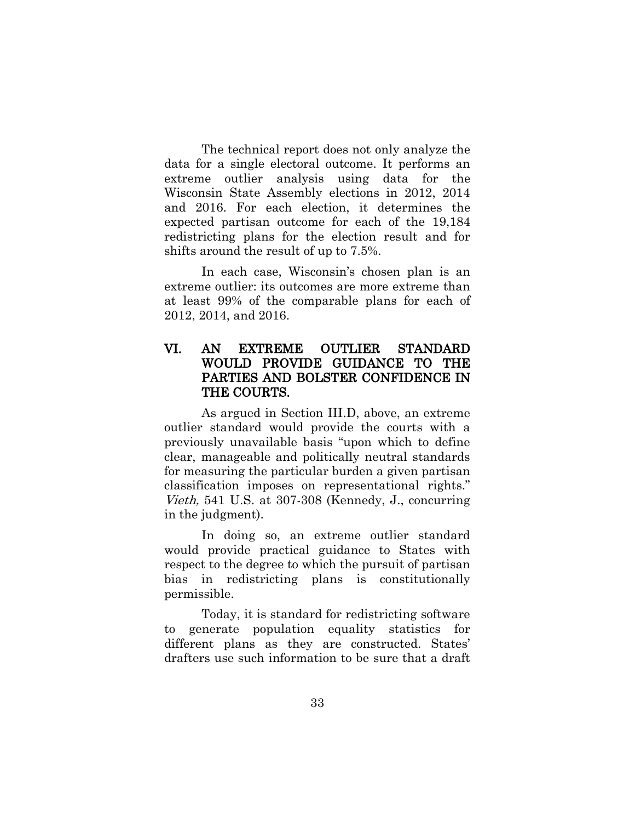The technical report does not only analyze the data for a single electoral outcome. It performs an extreme outlier analysis using data for the Wisconsin State Assembly elections in 2012, 2014 and 2016. For each election, it determines the expected partisan outcome for each of the 19,184 redistricting plans for the election result and for shifts around the result of up to 7.5%.

In each case, Wisconsin's chosen plan is an extreme outlier: its outcomes are more extreme than at least 99% of the comparable plans for each of 2012, 2014, and 2016.

#### VI. AN EXTREME OUTLIER STANDARD WOULD PROVIDE GUIDANCE TO THE PARTIES AND BOLSTER CONFIDENCE IN THE COURTS.

As argued in Section III.D, above, an extreme outlier standard would provide the courts with a previously unavailable basis "upon which to define clear, manageable and politically neutral standards for measuring the particular burden a given partisan classification imposes on representational rights." Vieth, 541 U.S. at 307-308 (Kennedy, J., concurring in the judgment).

In doing so, an extreme outlier standard would provide practical guidance to States with respect to the degree to which the pursuit of partisan bias in redistricting plans is constitutionally permissible.

Today, it is standard for redistricting software to generate population equality statistics for different plans as they are constructed. States' drafters use such information to be sure that a draft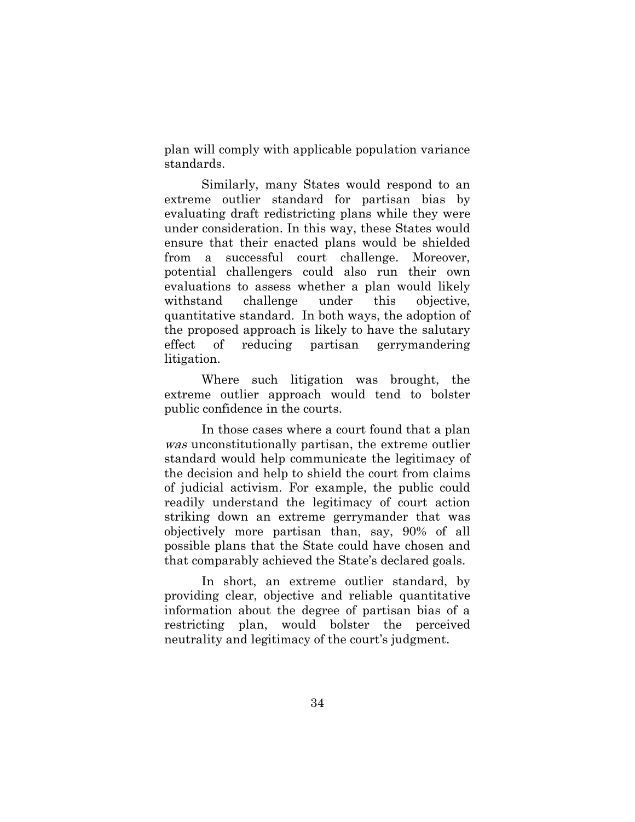plan will comply with applicable population variance standards.

Similarly, many States would respond to an extreme outlier standard for partisan bias by evaluating draft redistricting plans while they were under consideration. In this way, these States would ensure that their enacted plans would be shielded from a successful court challenge. Moreover, potential challengers could also run their own evaluations to assess whether a plan would likely withstand challenge under this objective, quantitative standard. In both ways, the adoption of the proposed approach is likely to have the salutary effect of reducing partisan gerrymandering litigation.

Where such litigation was brought, the extreme outlier approach would tend to bolster public confidence in the courts.

In those cases where a court found that a plan was unconstitutionally partisan, the extreme outlier standard would help communicate the legitimacy of the decision and help to shield the court from claims of judicial activism. For example, the public could readily understand the legitimacy of court action striking down an extreme gerrymander that was objectively more partisan than, say, 90% of all possible plans that the State could have chosen and that comparably achieved the State's declared goals.

In short, an extreme outlier standard, by providing clear, objective and reliable quantitative information about the degree of partisan bias of a restricting plan, would bolster the perceived neutrality and legitimacy of the court's judgment.